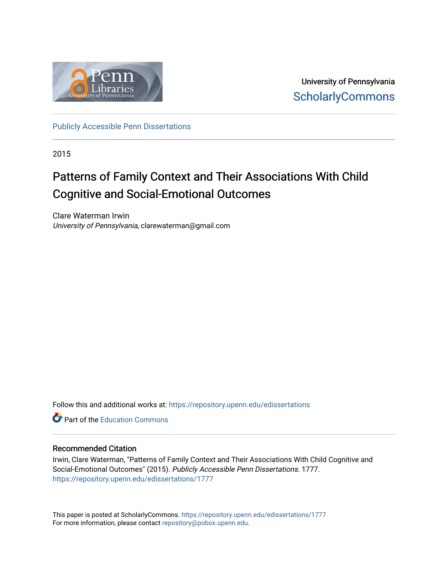

University of Pennsylvania **ScholarlyCommons** 

[Publicly Accessible Penn Dissertations](https://repository.upenn.edu/edissertations)

2015

# Patterns of Family Context and Their Associations With Child Cognitive and Social-Emotional Outcomes

Clare Waterman Irwin University of Pennsylvania, clarewaterman@gmail.com

Follow this and additional works at: [https://repository.upenn.edu/edissertations](https://repository.upenn.edu/edissertations?utm_source=repository.upenn.edu%2Fedissertations%2F1777&utm_medium=PDF&utm_campaign=PDFCoverPages) 

**C** Part of the [Education Commons](http://network.bepress.com/hgg/discipline/784?utm_source=repository.upenn.edu%2Fedissertations%2F1777&utm_medium=PDF&utm_campaign=PDFCoverPages)

## Recommended Citation

Irwin, Clare Waterman, "Patterns of Family Context and Their Associations With Child Cognitive and Social-Emotional Outcomes" (2015). Publicly Accessible Penn Dissertations. 1777. [https://repository.upenn.edu/edissertations/1777](https://repository.upenn.edu/edissertations/1777?utm_source=repository.upenn.edu%2Fedissertations%2F1777&utm_medium=PDF&utm_campaign=PDFCoverPages) 

This paper is posted at ScholarlyCommons.<https://repository.upenn.edu/edissertations/1777> For more information, please contact [repository@pobox.upenn.edu.](mailto:repository@pobox.upenn.edu)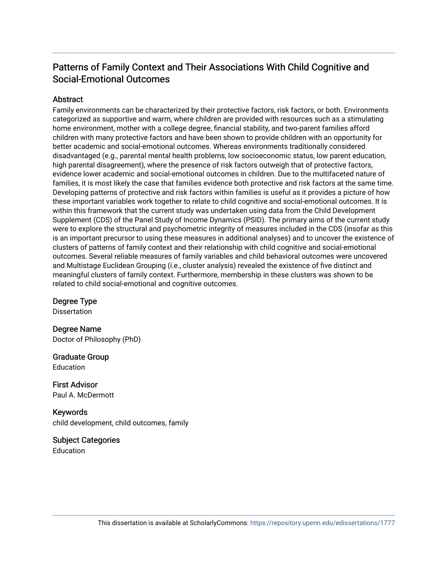# Patterns of Family Context and Their Associations With Child Cognitive and Social-Emotional Outcomes

## Abstract

Family environments can be characterized by their protective factors, risk factors, or both. Environments categorized as supportive and warm, where children are provided with resources such as a stimulating home environment, mother with a college degree, financial stability, and two-parent families afford children with many protective factors and have been shown to provide children with an opportunity for better academic and social-emotional outcomes. Whereas environments traditionally considered disadvantaged (e.g., parental mental health problems, low socioeconomic status, low parent education, high parental disagreement), where the presence of risk factors outweigh that of protective factors, evidence lower academic and social-emotional outcomes in children. Due to the multifaceted nature of families, it is most likely the case that families evidence both protective and risk factors at the same time. Developing patterns of protective and risk factors within families is useful as it provides a picture of how these important variables work together to relate to child cognitive and social-emotional outcomes. It is within this framework that the current study was undertaken using data from the Child Development Supplement (CDS) of the Panel Study of Income Dynamics (PSID). The primary aims of the current study were to explore the structural and psychometric integrity of measures included in the CDS (insofar as this is an important precursor to using these measures in additional analyses) and to uncover the existence of clusters of patterns of family context and their relationship with child cognitive and social-emotional outcomes. Several reliable measures of family variables and child behavioral outcomes were uncovered and Multistage Euclidean Grouping (i.e., cluster analysis) revealed the existence of five distinct and meaningful clusters of family context. Furthermore, membership in these clusters was shown to be related to child social-emotional and cognitive outcomes.

Degree Type **Dissertation** 

Degree Name Doctor of Philosophy (PhD)

Graduate Group Education

First Advisor Paul A. McDermott

Keywords child development, child outcomes, family

Subject Categories Education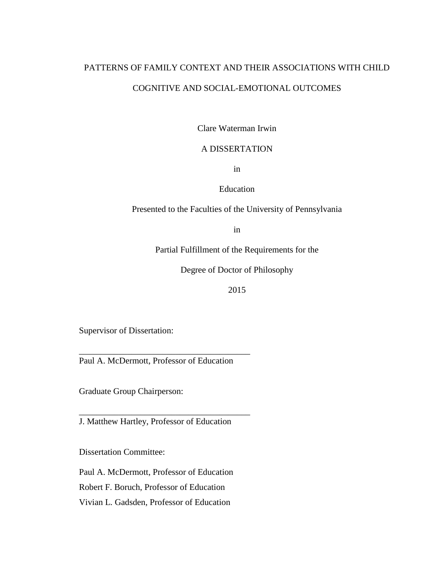# PATTERNS OF FAMILY CONTEXT AND THEIR ASSOCIATIONS WITH CHILD COGNITIVE AND SOCIAL-EMOTIONAL OUTCOMES

Clare Waterman Irwin

## A DISSERTATION

in

Education

Presented to the Faculties of the University of Pennsylvania

in

Partial Fulfillment of the Requirements for the

Degree of Doctor of Philosophy

2015

Supervisor of Dissertation:

\_\_\_\_\_\_\_\_\_\_\_\_\_\_\_\_\_\_\_\_\_\_\_\_\_\_\_\_\_\_\_\_\_\_\_\_\_\_\_ Paul A. McDermott, Professor of Education

Graduate Group Chairperson:

J. Matthew Hartley, Professor of Education

\_\_\_\_\_\_\_\_\_\_\_\_\_\_\_\_\_\_\_\_\_\_\_\_\_\_\_\_\_\_\_\_\_\_\_\_\_\_\_

Dissertation Committee:

Paul A. McDermott, Professor of Education

Robert F. Boruch, Professor of Education

Vivian L. Gadsden, Professor of Education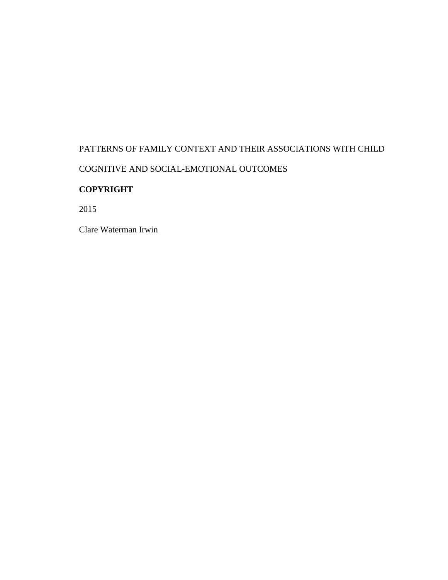# PATTERNS OF FAMILY CONTEXT AND THEIR ASSOCIATIONS WITH CHILD COGNITIVE AND SOCIAL-EMOTIONAL OUTCOMES

# **COPYRIGHT**

2015

Clare Waterman Irwin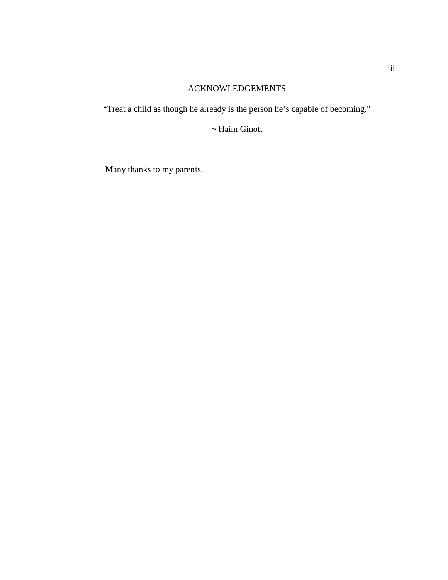# ACKNOWLEDGEMENTS

<span id="page-4-0"></span>"Treat a child as though he already is the person he's capable of becoming."

~ Haim Ginott

Many thanks to my parents.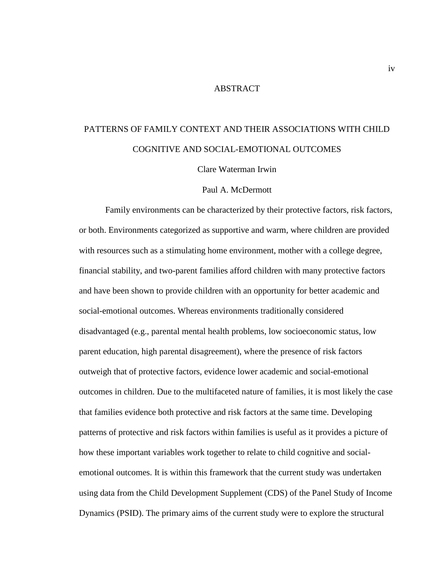## ABSTRACT

# <span id="page-5-0"></span>PATTERNS OF FAMILY CONTEXT AND THEIR ASSOCIATIONS WITH CHILD COGNITIVE AND SOCIAL-EMOTIONAL OUTCOMES

Clare Waterman Irwin

### Paul A. McDermott

Family environments can be characterized by their protective factors, risk factors, or both. Environments categorized as supportive and warm, where children are provided with resources such as a stimulating home environment, mother with a college degree, financial stability, and two-parent families afford children with many protective factors and have been shown to provide children with an opportunity for better academic and social-emotional outcomes. Whereas environments traditionally considered disadvantaged (e.g., parental mental health problems, low socioeconomic status, low parent education, high parental disagreement), where the presence of risk factors outweigh that of protective factors, evidence lower academic and social-emotional outcomes in children. Due to the multifaceted nature of families, it is most likely the case that families evidence both protective and risk factors at the same time. Developing patterns of protective and risk factors within families is useful as it provides a picture of how these important variables work together to relate to child cognitive and socialemotional outcomes. It is within this framework that the current study was undertaken using data from the Child Development Supplement (CDS) of the Panel Study of Income Dynamics (PSID). The primary aims of the current study were to explore the structural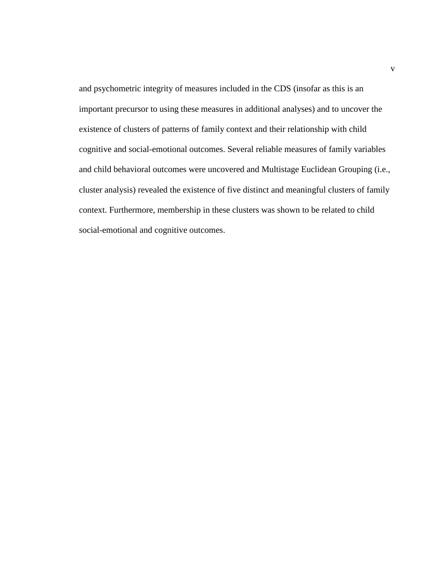and psychometric integrity of measures included in the CDS (insofar as this is an important precursor to using these measures in additional analyses) and to uncover the existence of clusters of patterns of family context and their relationship with child cognitive and social-emotional outcomes. Several reliable measures of family variables and child behavioral outcomes were uncovered and Multistage Euclidean Grouping (i.e., cluster analysis) revealed the existence of five distinct and meaningful clusters of family context. Furthermore, membership in these clusters was shown to be related to child social-emotional and cognitive outcomes.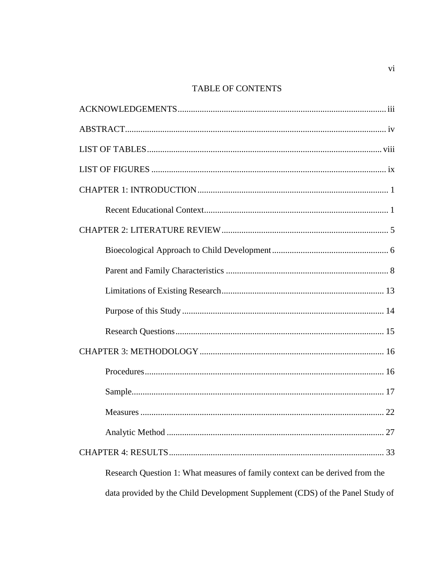# TABLE OF CONTENTS

| .27                                                                           |
|-------------------------------------------------------------------------------|
|                                                                               |
| Research Question 1: What measures of family context can be derived from the  |
| data provided by the Child Development Supplement (CDS) of the Panel Study of |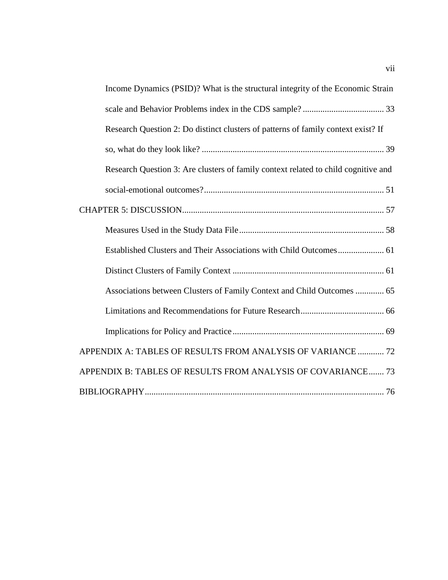| Income Dynamics (PSID)? What is the structural integrity of the Economic Strain    |
|------------------------------------------------------------------------------------|
|                                                                                    |
| Research Question 2: Do distinct clusters of patterns of family context exist? If  |
|                                                                                    |
| Research Question 3: Are clusters of family context related to child cognitive and |
|                                                                                    |
|                                                                                    |
|                                                                                    |
|                                                                                    |
|                                                                                    |
| Associations between Clusters of Family Context and Child Outcomes  65             |
|                                                                                    |
|                                                                                    |
| APPENDIX A: TABLES OF RESULTS FROM ANALYSIS OF VARIANCE  72                        |
| APPENDIX B: TABLES OF RESULTS FROM ANALYSIS OF COVARIANCE 73                       |
|                                                                                    |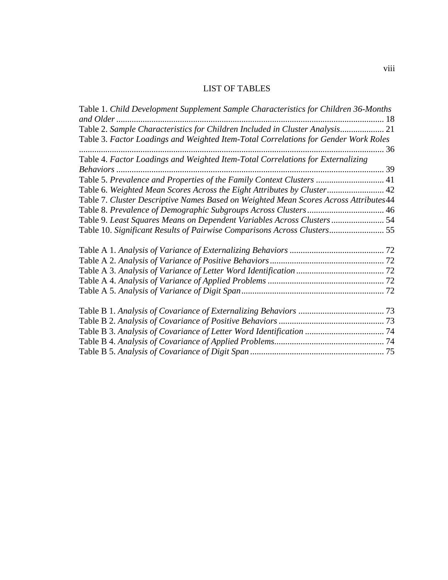# LIST OF TABLES

<span id="page-9-0"></span>

| Table 1. Child Development Supplement Sample Characteristics for Children 36-Months   |  |
|---------------------------------------------------------------------------------------|--|
|                                                                                       |  |
| Table 2. Sample Characteristics for Children Included in Cluster Analysis 21          |  |
| Table 3. Factor Loadings and Weighted Item-Total Correlations for Gender Work Roles   |  |
|                                                                                       |  |
| Table 4. Factor Loadings and Weighted Item-Total Correlations for Externalizing       |  |
|                                                                                       |  |
| Table 5. Prevalence and Properties of the Family Context Clusters  41                 |  |
| Table 6. Weighted Mean Scores Across the Eight Attributes by Cluster 42               |  |
| Table 7. Cluster Descriptive Names Based on Weighted Mean Scores Across Attributes 44 |  |
|                                                                                       |  |
| Table 9. Least Squares Means on Dependent Variables Across Clusters  54               |  |
| Table 10. Significant Results of Pairwise Comparisons Across Clusters 55              |  |
|                                                                                       |  |
|                                                                                       |  |
|                                                                                       |  |
|                                                                                       |  |
|                                                                                       |  |
|                                                                                       |  |
|                                                                                       |  |
|                                                                                       |  |
|                                                                                       |  |
|                                                                                       |  |
|                                                                                       |  |
|                                                                                       |  |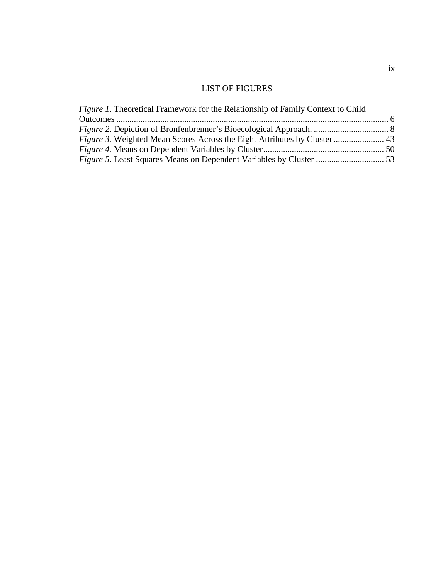# LIST OF FIGURES

<span id="page-10-0"></span>

| <i>Figure 1.</i> Theoretical Framework for the Relationship of Family Context to Child |  |
|----------------------------------------------------------------------------------------|--|
|                                                                                        |  |
|                                                                                        |  |
| <i>Figure 3.</i> Weighted Mean Scores Across the Eight Attributes by Cluster  43       |  |
|                                                                                        |  |
|                                                                                        |  |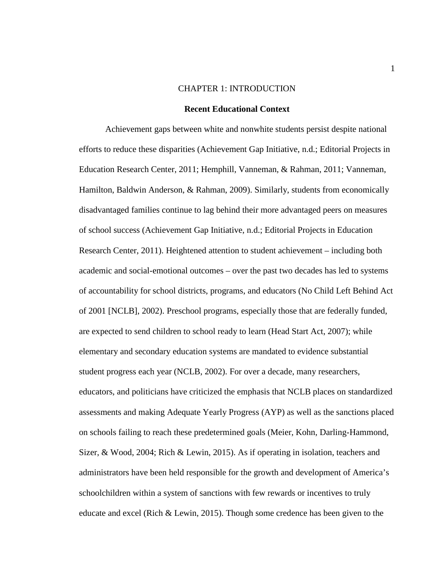#### CHAPTER 1: INTRODUCTION

#### **Recent Educational Context**

<span id="page-11-1"></span><span id="page-11-0"></span>Achievement gaps between white and nonwhite students persist despite national efforts to reduce these disparities (Achievement Gap Initiative, n.d.; Editorial Projects in Education Research Center, 2011; Hemphill, Vanneman, & Rahman, 2011; Vanneman, Hamilton, Baldwin Anderson, & Rahman, 2009). Similarly, students from economically disadvantaged families continue to lag behind their more advantaged peers on measures of school success (Achievement Gap Initiative, n.d.; Editorial Projects in Education Research Center, 2011). Heightened attention to student achievement – including both academic and social-emotional outcomes – over the past two decades has led to systems of accountability for school districts, programs, and educators (No Child Left Behind Act of 2001 [NCLB], 2002). Preschool programs, especially those that are federally funded, are expected to send children to school ready to learn (Head Start Act, 2007); while elementary and secondary education systems are mandated to evidence substantial student progress each year (NCLB, 2002). For over a decade, many researchers, educators, and politicians have criticized the emphasis that NCLB places on standardized assessments and making Adequate Yearly Progress (AYP) as well as the sanctions placed on schools failing to reach these predetermined goals (Meier, Kohn, Darling-Hammond, Sizer, & Wood, 2004; Rich & Lewin, 2015). As if operating in isolation, teachers and administrators have been held responsible for the growth and development of America's schoolchildren within a system of sanctions with few rewards or incentives to truly educate and excel (Rich & Lewin, 2015). Though some credence has been given to the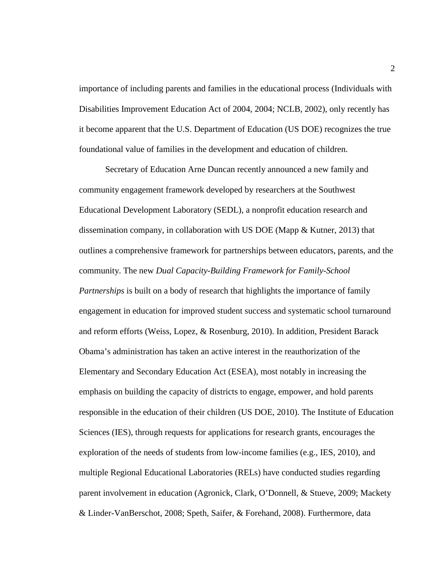importance of including parents and families in the educational process (Individuals with Disabilities Improvement Education Act of 2004, 2004; NCLB, 2002), only recently has it become apparent that the U.S. Department of Education (US DOE) recognizes the true foundational value of families in the development and education of children.

Secretary of Education Arne Duncan recently announced a new family and community engagement framework developed by researchers at the Southwest Educational Development Laboratory (SEDL), a nonprofit education research and dissemination company, in collaboration with US DOE (Mapp & Kutner, 2013) that outlines a comprehensive framework for partnerships between educators, parents, and the community. The new *Dual Capacity-Building Framework for Family-School Partnerships* is built on a body of research that highlights the importance of family engagement in education for improved student success and systematic school turnaround and reform efforts (Weiss, Lopez, & Rosenburg, 2010). In addition, President Barack Obama's administration has taken an active interest in the reauthorization of the Elementary and Secondary Education Act (ESEA), most notably in increasing the emphasis on building the capacity of districts to engage, empower, and hold parents responsible in the education of their children (US DOE, 2010). The Institute of Education Sciences (IES), through requests for applications for research grants, encourages the exploration of the needs of students from low-income families (e.g., IES, 2010), and multiple Regional Educational Laboratories (RELs) have conducted studies regarding parent involvement in education (Agronick, Clark, O'Donnell, & Stueve, 2009; Mackety & Linder-VanBerschot, 2008; Speth, Saifer, & Forehand, 2008). Furthermore, data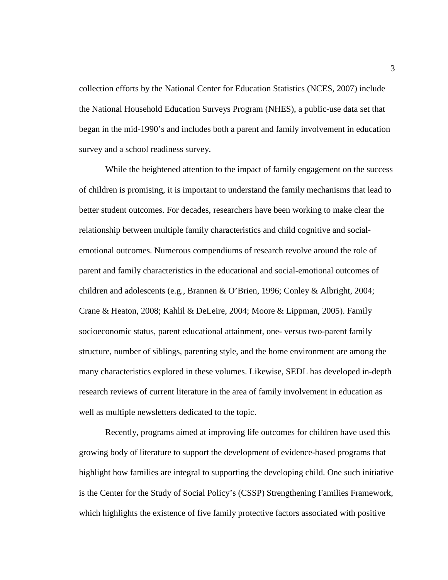collection efforts by the National Center for Education Statistics (NCES, 2007) include the National Household Education Surveys Program (NHES), a public-use data set that began in the mid-1990's and includes both a parent and family involvement in education survey and a school readiness survey.

While the heightened attention to the impact of family engagement on the success of children is promising, it is important to understand the family mechanisms that lead to better student outcomes. For decades, researchers have been working to make clear the relationship between multiple family characteristics and child cognitive and socialemotional outcomes. Numerous compendiums of research revolve around the role of parent and family characteristics in the educational and social-emotional outcomes of children and adolescents (e.g., Brannen & O'Brien, 1996; Conley & Albright, 2004; Crane & Heaton, 2008; Kahlil & DeLeire, 2004; Moore & Lippman, 2005). Family socioeconomic status, parent educational attainment, one- versus two-parent family structure, number of siblings, parenting style, and the home environment are among the many characteristics explored in these volumes. Likewise, SEDL has developed in-depth research reviews of current literature in the area of family involvement in education as well as multiple newsletters dedicated to the topic.

Recently, programs aimed at improving life outcomes for children have used this growing body of literature to support the development of evidence-based programs that highlight how families are integral to supporting the developing child. One such initiative is the Center for the Study of Social Policy's (CSSP) Strengthening Families Framework, which highlights the existence of five family protective factors associated with positive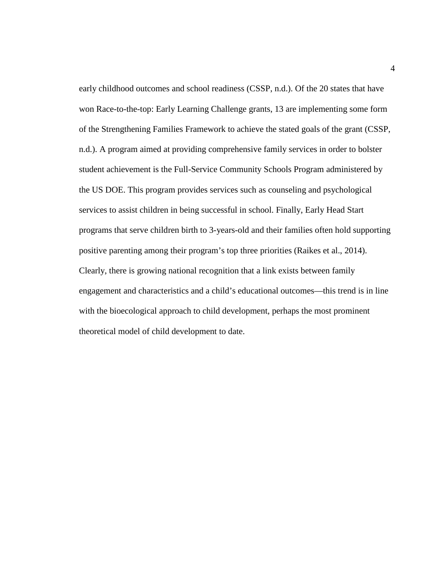early childhood outcomes and school readiness (CSSP, n.d.). Of the 20 states that have won Race-to-the-top: Early Learning Challenge grants, 13 are implementing some form of the Strengthening Families Framework to achieve the stated goals of the grant (CSSP, n.d.). A program aimed at providing comprehensive family services in order to bolster student achievement is the Full-Service Community Schools Program administered by the US DOE. This program provides services such as counseling and psychological services to assist children in being successful in school. Finally, Early Head Start programs that serve children birth to 3-years-old and their families often hold supporting positive parenting among their program's top three priorities (Raikes et al., 2014). Clearly, there is growing national recognition that a link exists between family engagement and characteristics and a child's educational outcomes—this trend is in line with the bioecological approach to child development, perhaps the most prominent theoretical model of child development to date.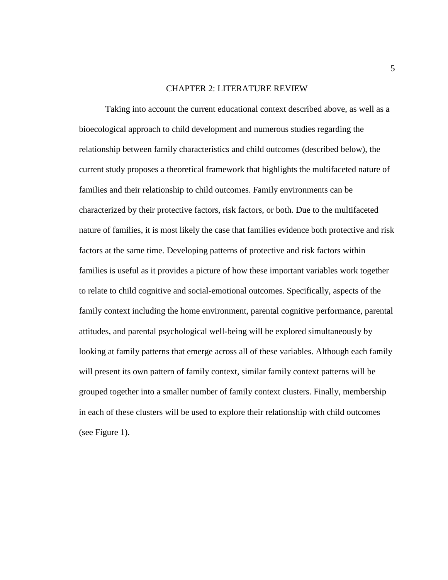### CHAPTER 2: LITERATURE REVIEW

<span id="page-15-0"></span>Taking into account the current educational context described above, as well as a bioecological approach to child development and numerous studies regarding the relationship between family characteristics and child outcomes (described below), the current study proposes a theoretical framework that highlights the multifaceted nature of families and their relationship to child outcomes. Family environments can be characterized by their protective factors, risk factors, or both. Due to the multifaceted nature of families, it is most likely the case that families evidence both protective and risk factors at the same time. Developing patterns of protective and risk factors within families is useful as it provides a picture of how these important variables work together to relate to child cognitive and social-emotional outcomes. Specifically, aspects of the family context including the home environment, parental cognitive performance, parental attitudes, and parental psychological well-being will be explored simultaneously by looking at family patterns that emerge across all of these variables. Although each family will present its own pattern of family context, similar family context patterns will be grouped together into a smaller number of family context clusters. Finally, membership in each of these clusters will be used to explore their relationship with child outcomes (see Figure 1).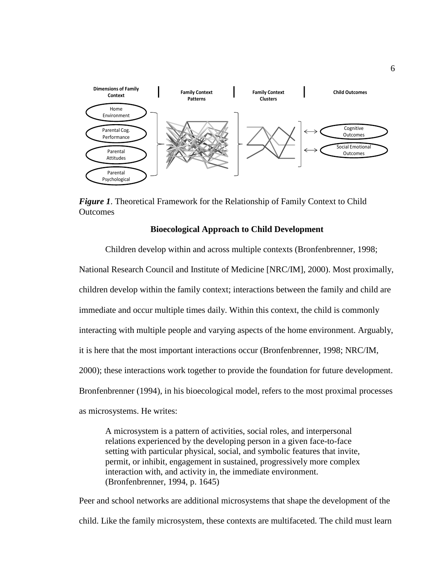

<span id="page-16-1"></span>*Figure 1*. Theoretical Framework for the Relationship of Family Context to Child **Outcomes** 

## **Bioecological Approach to Child Development**

<span id="page-16-0"></span>Children develop within and across multiple contexts (Bronfenbrenner, 1998; National Research Council and Institute of Medicine [NRC/IM], 2000). Most proximally, children develop within the family context; interactions between the family and child are immediate and occur multiple times daily. Within this context, the child is commonly interacting with multiple people and varying aspects of the home environment. Arguably, it is here that the most important interactions occur (Bronfenbrenner, 1998; NRC/IM, 2000); these interactions work together to provide the foundation for future development. Bronfenbrenner (1994), in his bioecological model, refers to the most proximal processes as microsystems. He writes:

A microsystem is a pattern of activities, social roles, and interpersonal relations experienced by the developing person in a given face-to-face setting with particular physical, social, and symbolic features that invite, permit, or inhibit, engagement in sustained, progressively more complex interaction with, and activity in, the immediate environment. (Bronfenbrenner, 1994, p. 1645)

Peer and school networks are additional microsystems that shape the development of the child. Like the family microsystem, these contexts are multifaceted. The child must learn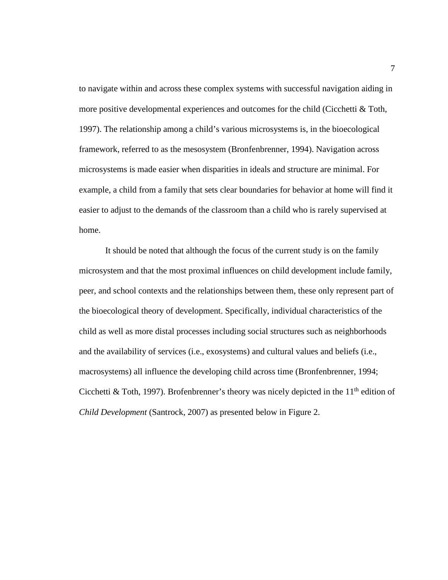to navigate within and across these complex systems with successful navigation aiding in more positive developmental experiences and outcomes for the child (Cicchetti & Toth, 1997). The relationship among a child's various microsystems is, in the bioecological framework, referred to as the mesosystem (Bronfenbrenner, 1994). Navigation across microsystems is made easier when disparities in ideals and structure are minimal. For example, a child from a family that sets clear boundaries for behavior at home will find it easier to adjust to the demands of the classroom than a child who is rarely supervised at home.

It should be noted that although the focus of the current study is on the family microsystem and that the most proximal influences on child development include family, peer, and school contexts and the relationships between them, these only represent part of the bioecological theory of development. Specifically, individual characteristics of the child as well as more distal processes including social structures such as neighborhoods and the availability of services (i.e., exosystems) and cultural values and beliefs (i.e., macrosystems) all influence the developing child across time (Bronfenbrenner, 1994; Cicchetti & Toth, 1997). Brofenbrenner's theory was nicely depicted in the  $11<sup>th</sup>$  edition of *Child Development* (Santrock, 2007) as presented below in Figure 2.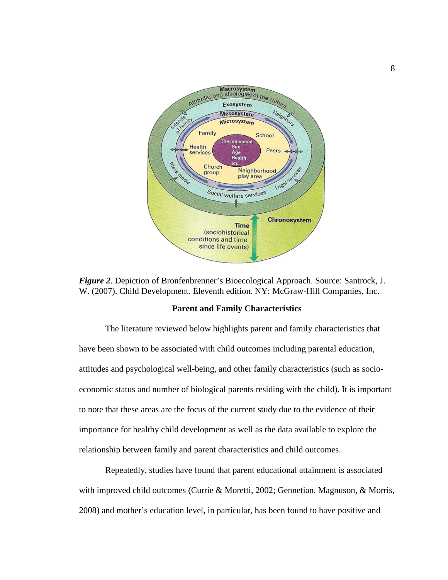

<span id="page-18-1"></span>*Figure 2*. Depiction of Bronfenbrenner's Bioecological Approach. Source: Santrock, J. W. (2007). Child Development. Eleventh edition. NY: McGraw-Hill Companies, Inc.

#### **Parent and Family Characteristics**

<span id="page-18-0"></span>The literature reviewed below highlights parent and family characteristics that have been shown to be associated with child outcomes including parental education, attitudes and psychological well-being, and other family characteristics (such as socioeconomic status and number of biological parents residing with the child). It is important to note that these areas are the focus of the current study due to the evidence of their importance for healthy child development as well as the data available to explore the relationship between family and parent characteristics and child outcomes.

Repeatedly, studies have found that parent educational attainment is associated with improved child outcomes (Currie & Moretti, 2002; Gennetian, Magnuson, & Morris, 2008) and mother's education level, in particular, has been found to have positive and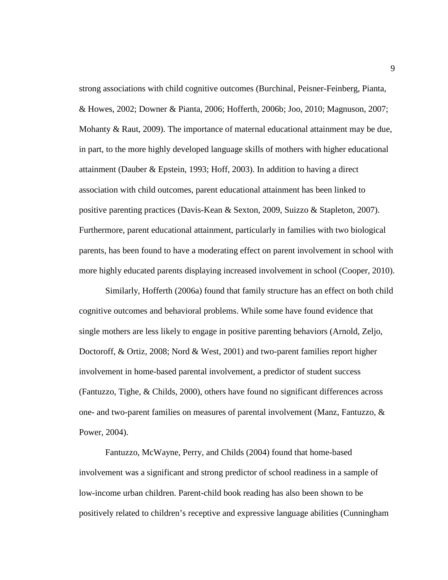strong associations with child cognitive outcomes (Burchinal, Peisner-Feinberg, Pianta, & Howes, 2002; Downer & Pianta, 2006; Hofferth, 2006b; Joo, 2010; Magnuson, 2007; Mohanty & Raut, 2009). The importance of maternal educational attainment may be due, in part, to the more highly developed language skills of mothers with higher educational attainment (Dauber & Epstein, 1993; Hoff, 2003). In addition to having a direct association with child outcomes, parent educational attainment has been linked to positive parenting practices (Davis-Kean & Sexton, 2009, Suizzo & Stapleton, 2007). Furthermore, parent educational attainment, particularly in families with two biological parents, has been found to have a moderating effect on parent involvement in school with more highly educated parents displaying increased involvement in school (Cooper, 2010).

Similarly, Hofferth (2006a) found that family structure has an effect on both child cognitive outcomes and behavioral problems. While some have found evidence that single mothers are less likely to engage in positive parenting behaviors (Arnold, Zeljo, Doctoroff, & Ortiz, 2008; Nord & West, 2001) and two-parent families report higher involvement in home-based parental involvement, a predictor of student success (Fantuzzo, Tighe, & Childs, 2000), others have found no significant differences across one- and two-parent families on measures of parental involvement (Manz, Fantuzzo, & Power, 2004).

Fantuzzo, McWayne, Perry, and Childs (2004) found that home-based involvement was a significant and strong predictor of school readiness in a sample of low-income urban children. Parent-child book reading has also been shown to be positively related to children's receptive and expressive language abilities (Cunningham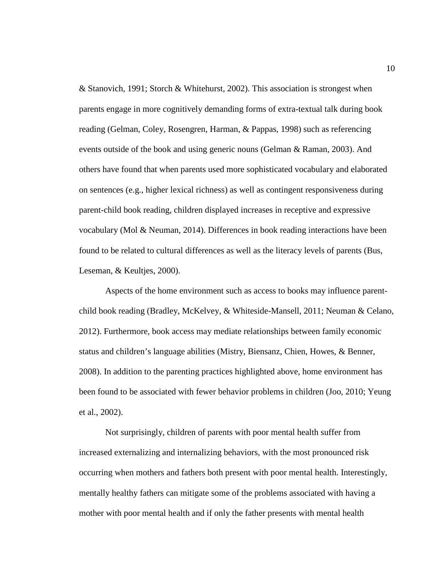& Stanovich, 1991; Storch & Whitehurst, 2002). This association is strongest when parents engage in more cognitively demanding forms of extra-textual talk during book reading (Gelman, Coley, Rosengren, Harman, & Pappas, 1998) such as referencing events outside of the book and using generic nouns (Gelman & Raman, 2003). And others have found that when parents used more sophisticated vocabulary and elaborated on sentences (e.g., higher lexical richness) as well as contingent responsiveness during parent-child book reading, children displayed increases in receptive and expressive vocabulary (Mol & Neuman, 2014). Differences in book reading interactions have been found to be related to cultural differences as well as the literacy levels of parents (Bus, Leseman, & Keultjes, 2000).

Aspects of the home environment such as access to books may influence parentchild book reading (Bradley, McKelvey, & Whiteside-Mansell, 2011; Neuman & Celano, 2012). Furthermore, book access may mediate relationships between family economic status and children's language abilities (Mistry, Biensanz, Chien, Howes, & Benner, 2008). In addition to the parenting practices highlighted above, home environment has been found to be associated with fewer behavior problems in children (Joo, 2010; Yeung et al., 2002).

Not surprisingly, children of parents with poor mental health suffer from increased externalizing and internalizing behaviors, with the most pronounced risk occurring when mothers and fathers both present with poor mental health. Interestingly, mentally healthy fathers can mitigate some of the problems associated with having a mother with poor mental health and if only the father presents with mental health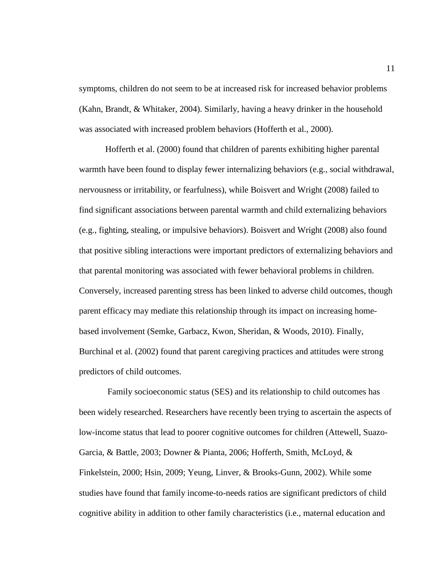symptoms, children do not seem to be at increased risk for increased behavior problems (Kahn, Brandt, & Whitaker, 2004). Similarly, having a heavy drinker in the household was associated with increased problem behaviors (Hofferth et al., 2000).

Hofferth et al. (2000) found that children of parents exhibiting higher parental warmth have been found to display fewer internalizing behaviors (e.g., social withdrawal, nervousness or irritability, or fearfulness), while Boisvert and Wright (2008) failed to find significant associations between parental warmth and child externalizing behaviors (e.g., fighting, stealing, or impulsive behaviors). Boisvert and Wright (2008) also found that positive sibling interactions were important predictors of externalizing behaviors and that parental monitoring was associated with fewer behavioral problems in children. Conversely, increased parenting stress has been linked to adverse child outcomes, though parent efficacy may mediate this relationship through its impact on increasing homebased involvement (Semke, Garbacz, Kwon, Sheridan, & Woods, 2010). Finally, Burchinal et al. (2002) found that parent caregiving practices and attitudes were strong predictors of child outcomes.

Family socioeconomic status (SES) and its relationship to child outcomes has been widely researched. Researchers have recently been trying to ascertain the aspects of low-income status that lead to poorer cognitive outcomes for children (Attewell, Suazo-Garcia, & Battle, 2003; Downer & Pianta, 2006; Hofferth, Smith, McLoyd, & Finkelstein, 2000; Hsin, 2009; Yeung, Linver, & Brooks-Gunn, 2002). While some studies have found that family income-to-needs ratios are significant predictors of child cognitive ability in addition to other family characteristics (i.e., maternal education and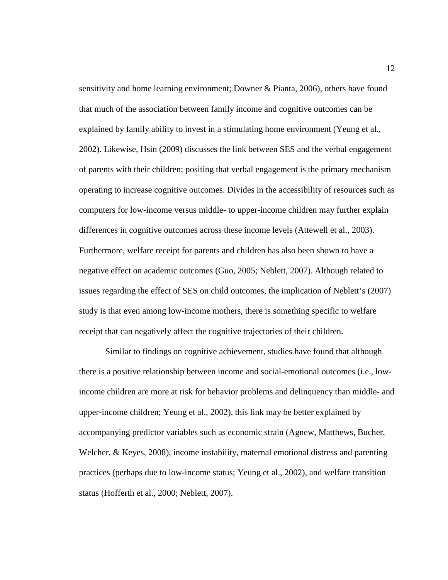sensitivity and home learning environment; Downer & Pianta, 2006), others have found that much of the association between family income and cognitive outcomes can be explained by family ability to invest in a stimulating home environment (Yeung et al., 2002). Likewise, Hsin (2009) discusses the link between SES and the verbal engagement of parents with their children; positing that verbal engagement is the primary mechanism operating to increase cognitive outcomes. Divides in the accessibility of resources such as computers for low-income versus middle- to upper-income children may further explain differences in cognitive outcomes across these income levels (Attewell et al., 2003). Furthermore, welfare receipt for parents and children has also been shown to have a negative effect on academic outcomes (Guo, 2005; Neblett, 2007). Although related to issues regarding the effect of SES on child outcomes, the implication of Neblett's (2007) study is that even among low-income mothers, there is something specific to welfare receipt that can negatively affect the cognitive trajectories of their children.

Similar to findings on cognitive achievement, studies have found that although there is a positive relationship between income and social-emotional outcomes (i.e., lowincome children are more at risk for behavior problems and delinquency than middle- and upper-income children; Yeung et al., 2002), this link may be better explained by accompanying predictor variables such as economic strain (Agnew, Matthews, Bucher, Welcher, & Keyes, 2008), income instability, maternal emotional distress and parenting practices (perhaps due to low-income status; Yeung et al., 2002), and welfare transition status (Hofferth et al., 2000; Neblett, 2007).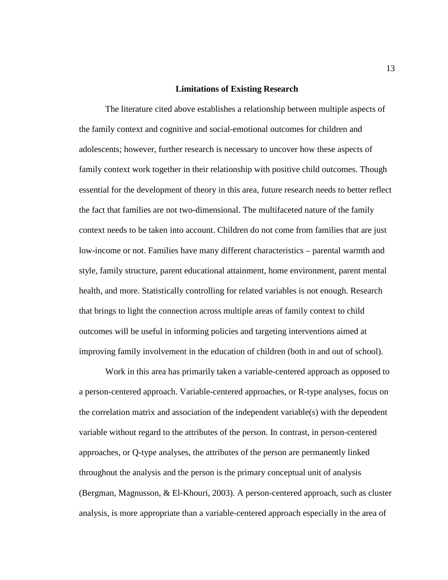#### **Limitations of Existing Research**

<span id="page-23-0"></span>The literature cited above establishes a relationship between multiple aspects of the family context and cognitive and social-emotional outcomes for children and adolescents; however, further research is necessary to uncover how these aspects of family context work together in their relationship with positive child outcomes. Though essential for the development of theory in this area, future research needs to better reflect the fact that families are not two-dimensional. The multifaceted nature of the family context needs to be taken into account. Children do not come from families that are just low-income or not. Families have many different characteristics – parental warmth and style, family structure, parent educational attainment, home environment, parent mental health, and more. Statistically controlling for related variables is not enough. Research that brings to light the connection across multiple areas of family context to child outcomes will be useful in informing policies and targeting interventions aimed at improving family involvement in the education of children (both in and out of school).

Work in this area has primarily taken a variable-centered approach as opposed to a person-centered approach. Variable-centered approaches, or R-type analyses, focus on the correlation matrix and association of the independent variable(s) with the dependent variable without regard to the attributes of the person. In contrast, in person-centered approaches, or Q-type analyses, the attributes of the person are permanently linked throughout the analysis and the person is the primary conceptual unit of analysis (Bergman, Magnusson, & El-Khouri, 2003). A person-centered approach, such as cluster analysis, is more appropriate than a variable-centered approach especially in the area of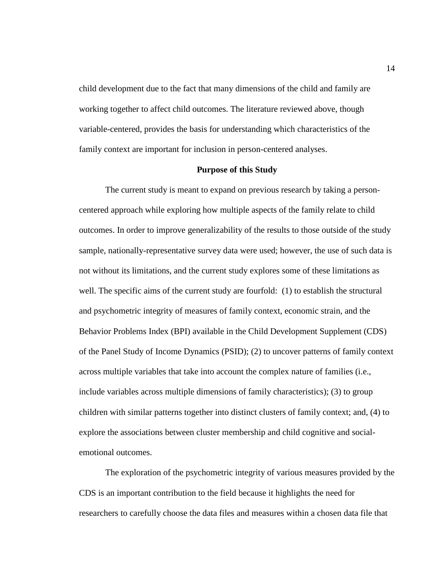child development due to the fact that many dimensions of the child and family are working together to affect child outcomes. The literature reviewed above, though variable-centered, provides the basis for understanding which characteristics of the family context are important for inclusion in person-centered analyses.

#### **Purpose of this Study**

<span id="page-24-0"></span>The current study is meant to expand on previous research by taking a personcentered approach while exploring how multiple aspects of the family relate to child outcomes. In order to improve generalizability of the results to those outside of the study sample, nationally-representative survey data were used; however, the use of such data is not without its limitations, and the current study explores some of these limitations as well. The specific aims of the current study are fourfold: (1) to establish the structural and psychometric integrity of measures of family context, economic strain, and the Behavior Problems Index (BPI) available in the Child Development Supplement (CDS) of the Panel Study of Income Dynamics (PSID); (2) to uncover patterns of family context across multiple variables that take into account the complex nature of families (i.e., include variables across multiple dimensions of family characteristics); (3) to group children with similar patterns together into distinct clusters of family context; and, (4) to explore the associations between cluster membership and child cognitive and socialemotional outcomes.

The exploration of the psychometric integrity of various measures provided by the CDS is an important contribution to the field because it highlights the need for researchers to carefully choose the data files and measures within a chosen data file that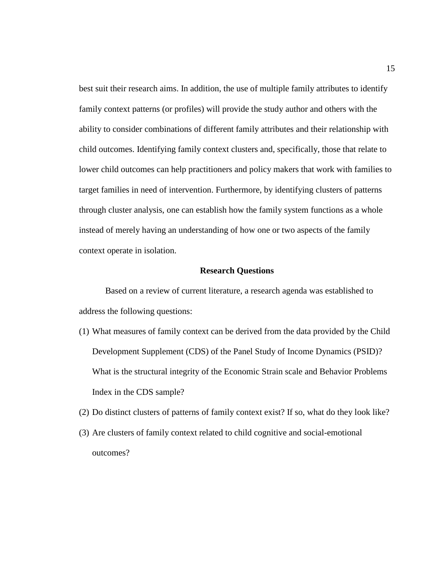best suit their research aims. In addition, the use of multiple family attributes to identify family context patterns (or profiles) will provide the study author and others with the ability to consider combinations of different family attributes and their relationship with child outcomes. Identifying family context clusters and, specifically, those that relate to lower child outcomes can help practitioners and policy makers that work with families to target families in need of intervention. Furthermore, by identifying clusters of patterns through cluster analysis, one can establish how the family system functions as a whole instead of merely having an understanding of how one or two aspects of the family context operate in isolation.

#### **Research Questions**

<span id="page-25-0"></span>Based on a review of current literature, a research agenda was established to address the following questions:

- (1) What measures of family context can be derived from the data provided by the Child Development Supplement (CDS) of the Panel Study of Income Dynamics (PSID)? What is the structural integrity of the Economic Strain scale and Behavior Problems Index in the CDS sample?
- (2) Do distinct clusters of patterns of family context exist? If so, what do they look like?
- (3) Are clusters of family context related to child cognitive and social-emotional outcomes?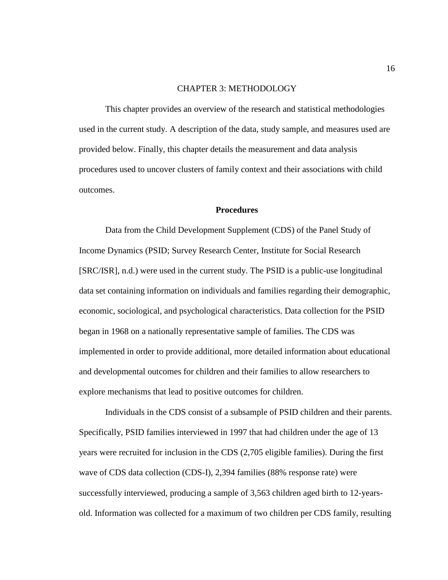### CHAPTER 3: METHODOLOGY

<span id="page-26-0"></span>This chapter provides an overview of the research and statistical methodologies used in the current study. A description of the data, study sample, and measures used are provided below. Finally, this chapter details the measurement and data analysis procedures used to uncover clusters of family context and their associations with child outcomes.

### **Procedures**

<span id="page-26-1"></span>Data from the Child Development Supplement (CDS) of the Panel Study of Income Dynamics (PSID; Survey Research Center, Institute for Social Research [SRC/ISR], n.d.) were used in the current study. The PSID is a public-use longitudinal data set containing information on individuals and families regarding their demographic, economic, sociological, and psychological characteristics. Data collection for the PSID began in 1968 on a nationally representative sample of families. The CDS was implemented in order to provide additional, more detailed information about educational and developmental outcomes for children and their families to allow researchers to explore mechanisms that lead to positive outcomes for children.

Individuals in the CDS consist of a subsample of PSID children and their parents. Specifically, PSID families interviewed in 1997 that had children under the age of 13 years were recruited for inclusion in the CDS (2,705 eligible families). During the first wave of CDS data collection (CDS-I), 2,394 families (88% response rate) were successfully interviewed, producing a sample of 3,563 children aged birth to 12-yearsold. Information was collected for a maximum of two children per CDS family, resulting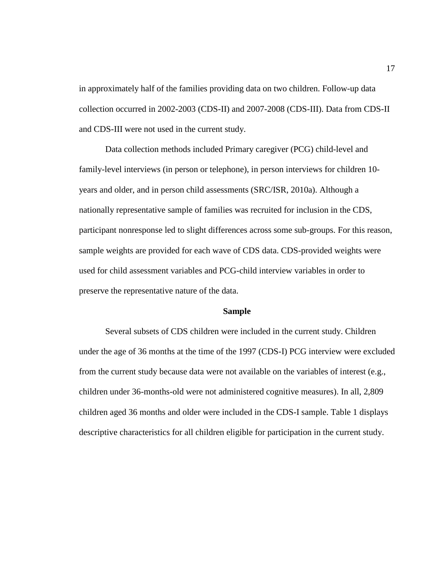in approximately half of the families providing data on two children. Follow-up data collection occurred in 2002-2003 (CDS-II) and 2007-2008 (CDS-III). Data from CDS-II and CDS-III were not used in the current study.

Data collection methods included Primary caregiver (PCG) child-level and family-level interviews (in person or telephone), in person interviews for children 10 years and older, and in person child assessments (SRC/ISR, 2010a). Although a nationally representative sample of families was recruited for inclusion in the CDS, participant nonresponse led to slight differences across some sub-groups. For this reason, sample weights are provided for each wave of CDS data. CDS-provided weights were used for child assessment variables and PCG-child interview variables in order to preserve the representative nature of the data.

#### **Sample**

<span id="page-27-0"></span>Several subsets of CDS children were included in the current study. Children under the age of 36 months at the time of the 1997 (CDS-I) PCG interview were excluded from the current study because data were not available on the variables of interest (e.g., children under 36-months-old were not administered cognitive measures). In all, 2,809 children aged 36 months and older were included in the CDS-I sample. Table 1 displays descriptive characteristics for all children eligible for participation in the current study.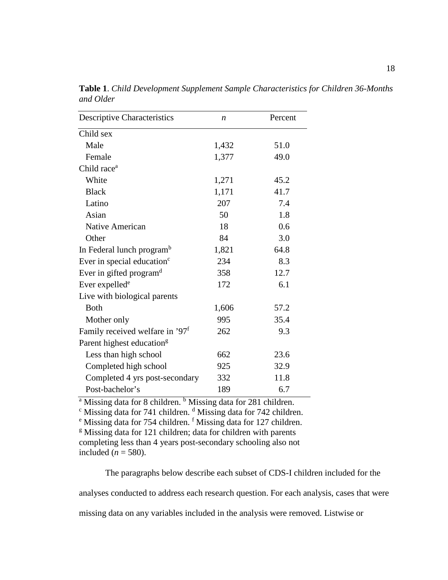| Descriptive Characteristics                 | $\boldsymbol{n}$ | Percent |
|---------------------------------------------|------------------|---------|
| Child sex                                   |                  |         |
| Male                                        | 1,432            | 51.0    |
| Female                                      | 1,377            | 49.0    |
| Child race <sup>a</sup>                     |                  |         |
| White                                       | 1,271            | 45.2    |
| <b>Black</b>                                | 1,171            | 41.7    |
| Latino                                      | 207              | 7.4     |
| Asian                                       | 50               | 1.8     |
| Native American                             | 18               | 0.6     |
| Other                                       | 84               | 3.0     |
| In Federal lunch program <sup>b</sup>       | 1,821            | 64.8    |
| Ever in special education <sup>c</sup>      | 234              | 8.3     |
| Ever in gifted program <sup>d</sup>         | 358              | 12.7    |
| Ever expelled <sup>e</sup>                  | 172              | 6.1     |
| Live with biological parents                |                  |         |
| <b>Both</b>                                 | 1,606            | 57.2    |
| Mother only                                 | 995              | 35.4    |
| Family received welfare in '97 <sup>f</sup> | 262              | 9.3     |
| Parent highest education <sup>g</sup>       |                  |         |
| Less than high school                       | 662              | 23.6    |
| Completed high school                       | 925              | 32.9    |
| Completed 4 yrs post-secondary              | 332              | 11.8    |
| Post-bachelor's                             | 189              | 6.7     |

<span id="page-28-0"></span>**Table 1**. *Child Development Supplement Sample Characteristics for Children 36-Months and Older*

<sup>a</sup> Missing data for 8 children. <sup>b</sup> Missing data for 281 children.<br>
<sup>c</sup> Missing data for 741 children. <sup>d</sup> Missing data for 742 children. <br>
<sup>e</sup> Missing data for 754 children. <sup>f</sup> Missing data for 127 children.

 $g$  Missing data for 121 children; data for children with parents

completing less than 4 years post-secondary schooling also not included  $(n = 580)$ .

The paragraphs below describe each subset of CDS-I children included for the

analyses conducted to address each research question. For each analysis, cases that were

missing data on any variables included in the analysis were removed. Listwise or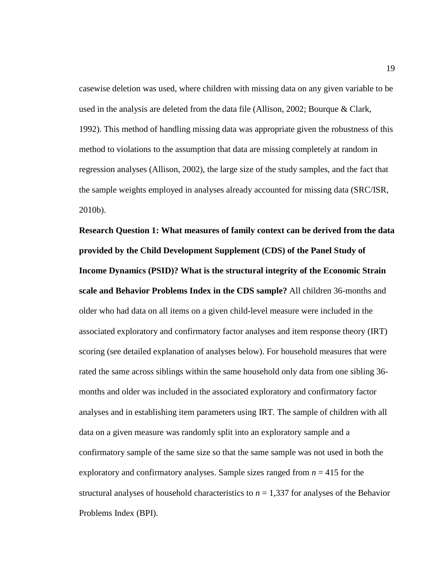casewise deletion was used, where children with missing data on any given variable to be used in the analysis are deleted from the data file (Allison, 2002; Bourque & Clark, 1992). This method of handling missing data was appropriate given the robustness of this method to violations to the assumption that data are missing completely at random in regression analyses (Allison, 2002), the large size of the study samples, and the fact that the sample weights employed in analyses already accounted for missing data (SRC/ISR, 2010b).

**Research Question 1: What measures of family context can be derived from the data provided by the Child Development Supplement (CDS) of the Panel Study of Income Dynamics (PSID)? What is the structural integrity of the Economic Strain scale and Behavior Problems Index in the CDS sample?** All children 36-months and older who had data on all items on a given child-level measure were included in the associated exploratory and confirmatory factor analyses and item response theory (IRT) scoring (see detailed explanation of analyses below). For household measures that were rated the same across siblings within the same household only data from one sibling 36 months and older was included in the associated exploratory and confirmatory factor analyses and in establishing item parameters using IRT. The sample of children with all data on a given measure was randomly split into an exploratory sample and a confirmatory sample of the same size so that the same sample was not used in both the exploratory and confirmatory analyses. Sample sizes ranged from  $n = 415$  for the structural analyses of household characteristics to  $n = 1,337$  for analyses of the Behavior Problems Index (BPI).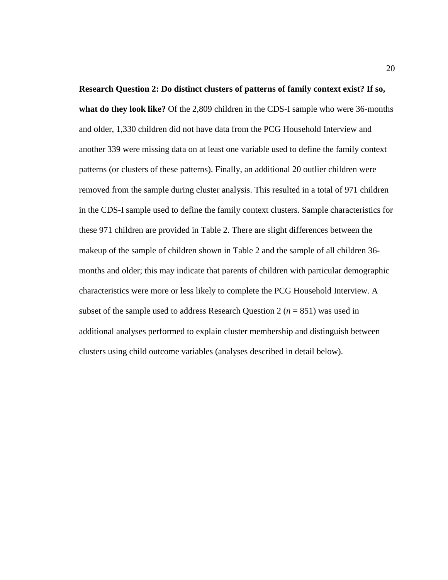**Research Question 2: Do distinct clusters of patterns of family context exist? If so, what do they look like?** Of the 2,809 children in the CDS-I sample who were 36-months and older, 1,330 children did not have data from the PCG Household Interview and another 339 were missing data on at least one variable used to define the family context patterns (or clusters of these patterns). Finally, an additional 20 outlier children were removed from the sample during cluster analysis. This resulted in a total of 971 children in the CDS-I sample used to define the family context clusters. Sample characteristics for these 971 children are provided in Table 2. There are slight differences between the makeup of the sample of children shown in Table 2 and the sample of all children 36 months and older; this may indicate that parents of children with particular demographic characteristics were more or less likely to complete the PCG Household Interview. A subset of the sample used to address Research Question 2 ( $n = 851$ ) was used in additional analyses performed to explain cluster membership and distinguish between clusters using child outcome variables (analyses described in detail below).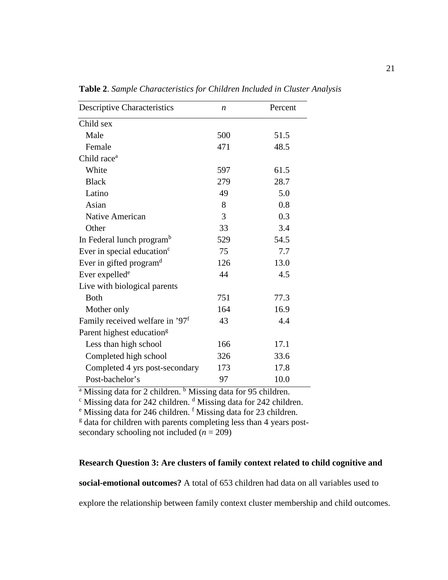| <b>Descriptive Characteristics</b>          | n   | Percent |
|---------------------------------------------|-----|---------|
| Child sex                                   |     |         |
| Male                                        | 500 | 51.5    |
| Female                                      | 471 | 48.5    |
| Child race <sup>a</sup>                     |     |         |
| White                                       | 597 | 61.5    |
| <b>Black</b>                                | 279 | 28.7    |
| Latino                                      | 49  | 5.0     |
| Asian                                       | 8   | 0.8     |
| <b>Native American</b>                      | 3   | 0.3     |
| Other                                       | 33  | 3.4     |
| In Federal lunch program <sup>b</sup>       | 529 | 54.5    |
| Ever in special education <sup>c</sup>      | 75  | 7.7     |
| Ever in gifted program <sup>d</sup>         | 126 | 13.0    |
| Ever expelled <sup>e</sup>                  | 44  | 4.5     |
| Live with biological parents                |     |         |
| <b>Both</b>                                 | 751 | 77.3    |
| Mother only                                 | 164 | 16.9    |
| Family received welfare in '97 <sup>f</sup> | 43  | 4.4     |
| Parent highest education <sup>g</sup>       |     |         |
| Less than high school                       | 166 | 17.1    |
| Completed high school                       | 326 | 33.6    |
| Completed 4 yrs post-secondary              | 173 | 17.8    |
| Post-bachelor's                             | 97  | 10.0    |

<span id="page-31-0"></span>**Table 2**. *Sample Characteristics for Children Included in Cluster Analysis*

<sup>a</sup> Missing data for 2 children. <sup>b</sup> Missing data for 95 children.<br>
<sup>c</sup> Missing data for 242 children. <sup>f</sup> Missing data for 23 children.<br>
<sup>e</sup> Missing data for 246 children. <sup>f</sup> Missing data for 23 children.

 $\frac{g}{g}$  data for children with parents completing less than 4 years postsecondary schooling not included  $(n = 209)$ 

# **Research Question 3: Are clusters of family context related to child cognitive and**

**social-emotional outcomes?** A total of 653 children had data on all variables used to

explore the relationship between family context cluster membership and child outcomes.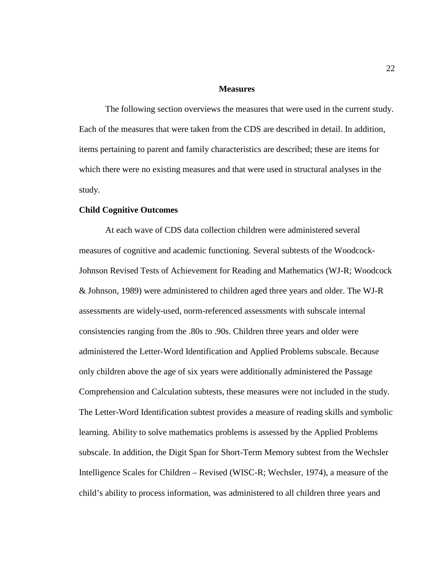#### **Measures**

<span id="page-32-0"></span>The following section overviews the measures that were used in the current study. Each of the measures that were taken from the CDS are described in detail. In addition, items pertaining to parent and family characteristics are described; these are items for which there were no existing measures and that were used in structural analyses in the study.

#### **Child Cognitive Outcomes**

At each wave of CDS data collection children were administered several measures of cognitive and academic functioning. Several subtests of the Woodcock-Johnson Revised Tests of Achievement for Reading and Mathematics (WJ-R; Woodcock & Johnson, 1989) were administered to children aged three years and older. The WJ-R assessments are widely-used, norm-referenced assessments with subscale internal consistencies ranging from the .80s to .90s. Children three years and older were administered the Letter-Word Identification and Applied Problems subscale. Because only children above the age of six years were additionally administered the Passage Comprehension and Calculation subtests, these measures were not included in the study. The Letter-Word Identification subtest provides a measure of reading skills and symbolic learning. Ability to solve mathematics problems is assessed by the Applied Problems subscale. In addition, the Digit Span for Short-Term Memory subtest from the Wechsler Intelligence Scales for Children – Revised (WISC-R; Wechsler, 1974), a measure of the child's ability to process information, was administered to all children three years and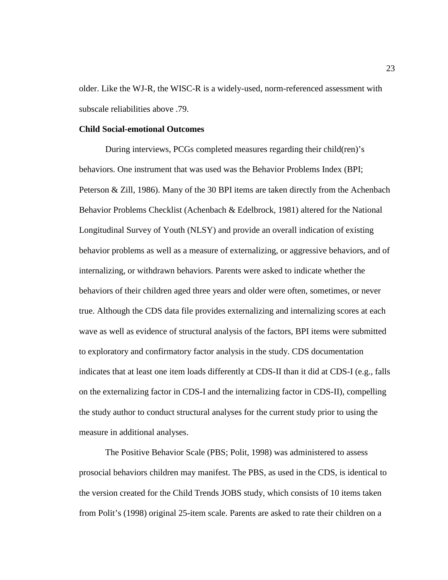older. Like the WJ-R, the WISC-R is a widely-used, norm-referenced assessment with subscale reliabilities above .79.

#### **Child Social-emotional Outcomes**

During interviews, PCGs completed measures regarding their child(ren)'s behaviors. One instrument that was used was the Behavior Problems Index (BPI; Peterson & Zill, 1986). Many of the 30 BPI items are taken directly from the Achenbach Behavior Problems Checklist (Achenbach & Edelbrock, 1981) altered for the National Longitudinal Survey of Youth (NLSY) and provide an overall indication of existing behavior problems as well as a measure of externalizing, or aggressive behaviors, and of internalizing, or withdrawn behaviors. Parents were asked to indicate whether the behaviors of their children aged three years and older were often, sometimes, or never true. Although the CDS data file provides externalizing and internalizing scores at each wave as well as evidence of structural analysis of the factors, BPI items were submitted to exploratory and confirmatory factor analysis in the study. CDS documentation indicates that at least one item loads differently at CDS-II than it did at CDS-I (e.g., falls on the externalizing factor in CDS-I and the internalizing factor in CDS-II), compelling the study author to conduct structural analyses for the current study prior to using the measure in additional analyses.

The Positive Behavior Scale (PBS; Polit, 1998) was administered to assess prosocial behaviors children may manifest. The PBS, as used in the CDS, is identical to the version created for the Child Trends JOBS study, which consists of 10 items taken from Polit's (1998) original 25-item scale. Parents are asked to rate their children on a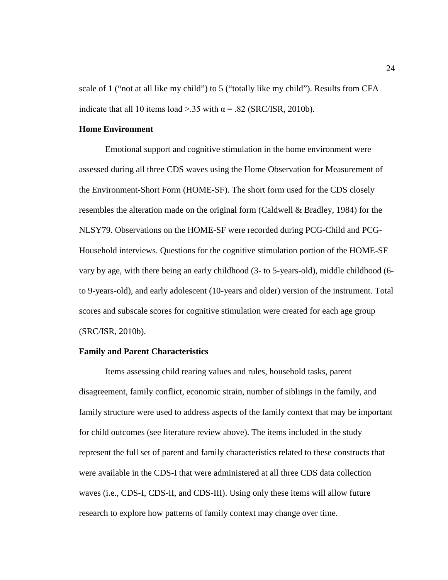scale of 1 ("not at all like my child") to 5 ("totally like my child"). Results from CFA indicate that all 10 items load >.35 with  $\alpha$  = .82 (SRC/ISR, 2010b).

## **Home Environment**

Emotional support and cognitive stimulation in the home environment were assessed during all three CDS waves using the Home Observation for Measurement of the Environment-Short Form (HOME-SF). The short form used for the CDS closely resembles the alteration made on the original form (Caldwell & Bradley, 1984) for the NLSY79. Observations on the HOME-SF were recorded during PCG-Child and PCG-Household interviews. Questions for the cognitive stimulation portion of the HOME-SF vary by age, with there being an early childhood (3- to 5-years-old), middle childhood (6 to 9-years-old), and early adolescent (10-years and older) version of the instrument. Total scores and subscale scores for cognitive stimulation were created for each age group (SRC/ISR, 2010b).

#### **Family and Parent Characteristics**

Items assessing child rearing values and rules, household tasks, parent disagreement, family conflict, economic strain, number of siblings in the family, and family structure were used to address aspects of the family context that may be important for child outcomes (see literature review above). The items included in the study represent the full set of parent and family characteristics related to these constructs that were available in the CDS-I that were administered at all three CDS data collection waves (i.e., CDS-I, CDS-II, and CDS-III). Using only these items will allow future research to explore how patterns of family context may change over time.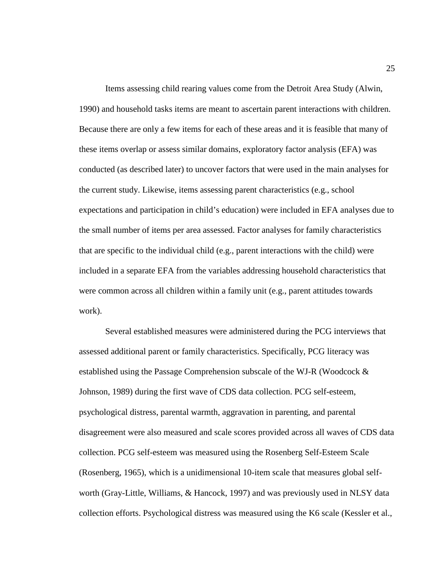Items assessing child rearing values come from the Detroit Area Study (Alwin, 1990) and household tasks items are meant to ascertain parent interactions with children. Because there are only a few items for each of these areas and it is feasible that many of these items overlap or assess similar domains, exploratory factor analysis (EFA) was conducted (as described later) to uncover factors that were used in the main analyses for the current study. Likewise, items assessing parent characteristics (e.g., school expectations and participation in child's education) were included in EFA analyses due to the small number of items per area assessed. Factor analyses for family characteristics that are specific to the individual child (e.g., parent interactions with the child) were included in a separate EFA from the variables addressing household characteristics that were common across all children within a family unit (e.g., parent attitudes towards work).

Several established measures were administered during the PCG interviews that assessed additional parent or family characteristics. Specifically, PCG literacy was established using the Passage Comprehension subscale of the WJ-R (Woodcock  $\&$ Johnson, 1989) during the first wave of CDS data collection. PCG self-esteem, psychological distress, parental warmth, aggravation in parenting, and parental disagreement were also measured and scale scores provided across all waves of CDS data collection. PCG self-esteem was measured using the Rosenberg Self-Esteem Scale (Rosenberg, 1965), which is a unidimensional 10-item scale that measures global selfworth (Gray-Little, Williams, & Hancock, 1997) and was previously used in NLSY data collection efforts. Psychological distress was measured using the K6 scale (Kessler et al.,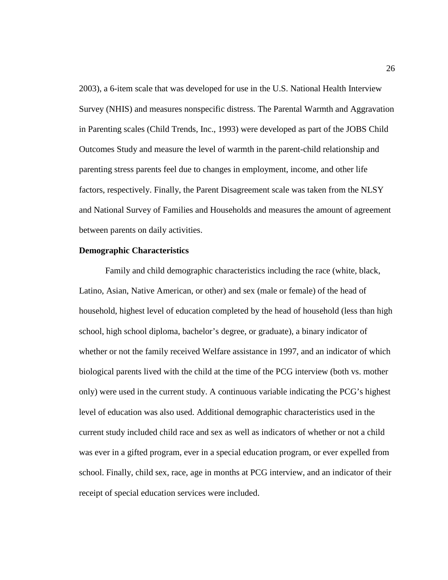2003), a 6-item scale that was developed for use in the U.S. National Health Interview Survey (NHIS) and measures nonspecific distress. The Parental Warmth and Aggravation in Parenting scales (Child Trends, Inc., 1993) were developed as part of the JOBS Child Outcomes Study and measure the level of warmth in the parent-child relationship and parenting stress parents feel due to changes in employment, income, and other life factors, respectively. Finally, the Parent Disagreement scale was taken from the NLSY and National Survey of Families and Households and measures the amount of agreement between parents on daily activities.

### **Demographic Characteristics**

Family and child demographic characteristics including the race (white, black, Latino, Asian, Native American, or other) and sex (male or female) of the head of household, highest level of education completed by the head of household (less than high school, high school diploma, bachelor's degree, or graduate), a binary indicator of whether or not the family received Welfare assistance in 1997, and an indicator of which biological parents lived with the child at the time of the PCG interview (both vs. mother only) were used in the current study. A continuous variable indicating the PCG's highest level of education was also used. Additional demographic characteristics used in the current study included child race and sex as well as indicators of whether or not a child was ever in a gifted program, ever in a special education program, or ever expelled from school. Finally, child sex, race, age in months at PCG interview, and an indicator of their receipt of special education services were included.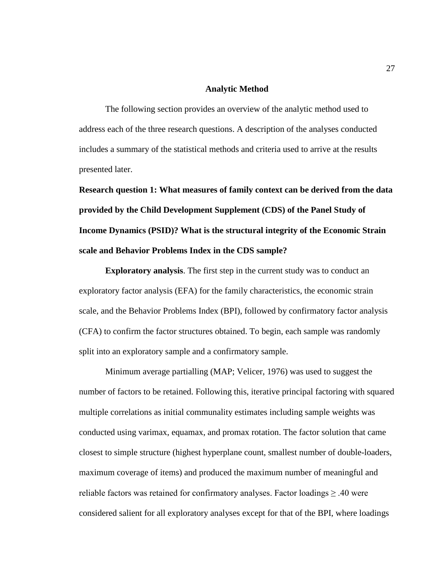#### **Analytic Method**

The following section provides an overview of the analytic method used to address each of the three research questions. A description of the analyses conducted includes a summary of the statistical methods and criteria used to arrive at the results presented later.

**Research question 1: What measures of family context can be derived from the data provided by the Child Development Supplement (CDS) of the Panel Study of Income Dynamics (PSID)? What is the structural integrity of the Economic Strain scale and Behavior Problems Index in the CDS sample?**

**Exploratory analysis**. The first step in the current study was to conduct an exploratory factor analysis (EFA) for the family characteristics, the economic strain scale, and the Behavior Problems Index (BPI), followed by confirmatory factor analysis (CFA) to confirm the factor structures obtained. To begin, each sample was randomly split into an exploratory sample and a confirmatory sample.

Minimum average partialling (MAP; Velicer, 1976) was used to suggest the number of factors to be retained. Following this, iterative principal factoring with squared multiple correlations as initial communality estimates including sample weights was conducted using varimax, equamax, and promax rotation. The factor solution that came closest to simple structure (highest hyperplane count, smallest number of double-loaders, maximum coverage of items) and produced the maximum number of meaningful and reliable factors was retained for confirmatory analyses. Factor loadings  $\geq 0.40$  were considered salient for all exploratory analyses except for that of the BPI, where loadings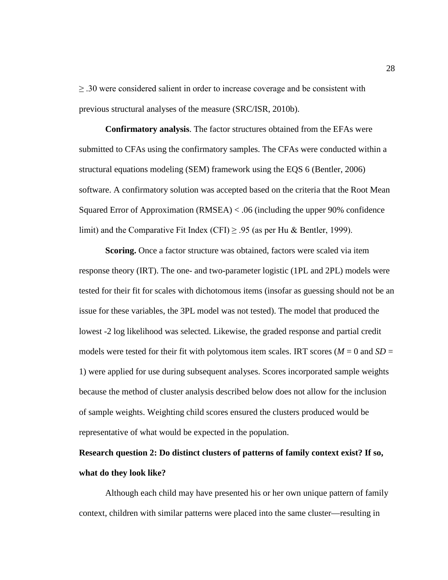$\geq$  .30 were considered salient in order to increase coverage and be consistent with previous structural analyses of the measure (SRC/ISR, 2010b).

**Confirmatory analysis**. The factor structures obtained from the EFAs were submitted to CFAs using the confirmatory samples. The CFAs were conducted within a structural equations modeling (SEM) framework using the EQS 6 (Bentler, 2006) software. A confirmatory solution was accepted based on the criteria that the Root Mean Squared Error of Approximation (RMSEA) < .06 (including the upper 90% confidence limit) and the Comparative Fit Index (CFI)  $\geq$  .95 (as per Hu & Bentler, 1999).

**Scoring.** Once a factor structure was obtained, factors were scaled via item response theory (IRT). The one- and two-parameter logistic (1PL and 2PL) models were tested for their fit for scales with dichotomous items (insofar as guessing should not be an issue for these variables, the 3PL model was not tested). The model that produced the lowest -2 log likelihood was selected. Likewise, the graded response and partial credit models were tested for their fit with polytomous item scales. IRT scores ( $M = 0$  and  $SD =$ 1) were applied for use during subsequent analyses. Scores incorporated sample weights because the method of cluster analysis described below does not allow for the inclusion of sample weights. Weighting child scores ensured the clusters produced would be representative of what would be expected in the population.

# **Research question 2: Do distinct clusters of patterns of family context exist? If so, what do they look like?**

Although each child may have presented his or her own unique pattern of family context, children with similar patterns were placed into the same cluster—resulting in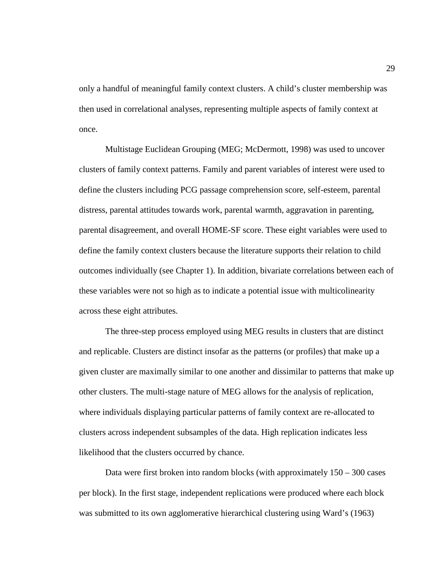only a handful of meaningful family context clusters. A child's cluster membership was then used in correlational analyses, representing multiple aspects of family context at once.

Multistage Euclidean Grouping (MEG; McDermott, 1998) was used to uncover clusters of family context patterns. Family and parent variables of interest were used to define the clusters including PCG passage comprehension score, self-esteem, parental distress, parental attitudes towards work, parental warmth, aggravation in parenting, parental disagreement, and overall HOME-SF score. These eight variables were used to define the family context clusters because the literature supports their relation to child outcomes individually (see Chapter 1). In addition, bivariate correlations between each of these variables were not so high as to indicate a potential issue with multicolinearity across these eight attributes.

The three-step process employed using MEG results in clusters that are distinct and replicable. Clusters are distinct insofar as the patterns (or profiles) that make up a given cluster are maximally similar to one another and dissimilar to patterns that make up other clusters. The multi-stage nature of MEG allows for the analysis of replication, where individuals displaying particular patterns of family context are re-allocated to clusters across independent subsamples of the data. High replication indicates less likelihood that the clusters occurred by chance.

Data were first broken into random blocks (with approximately  $150 - 300$  cases per block). In the first stage, independent replications were produced where each block was submitted to its own agglomerative hierarchical clustering using Ward's (1963)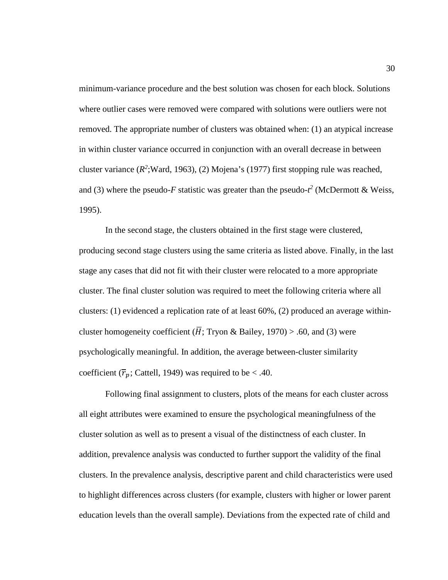minimum-variance procedure and the best solution was chosen for each block. Solutions where outlier cases were removed were compared with solutions were outliers were not removed. The appropriate number of clusters was obtained when: (1) an atypical increase in within cluster variance occurred in conjunction with an overall decrease in between cluster variance  $(R^2; \text{Ward}, 1963)$ , (2) Mojena's (1977) first stopping rule was reached, and (3) where the pseudo-*F* statistic was greater than the pseudo- $t^2$  (McDermott & Weiss, 1995).

In the second stage, the clusters obtained in the first stage were clustered, producing second stage clusters using the same criteria as listed above. Finally, in the last stage any cases that did not fit with their cluster were relocated to a more appropriate cluster. The final cluster solution was required to meet the following criteria where all clusters: (1) evidenced a replication rate of at least 60%, (2) produced an average withincluster homogeneity coefficient ( $\overline{H}$ ; Tryon & Bailey, 1970) > .60, and (3) were psychologically meaningful. In addition, the average between-cluster similarity coefficient ( $\overline{r}_p$ ; Cattell, 1949) was required to be < .40.

Following final assignment to clusters, plots of the means for each cluster across all eight attributes were examined to ensure the psychological meaningfulness of the cluster solution as well as to present a visual of the distinctness of each cluster. In addition, prevalence analysis was conducted to further support the validity of the final clusters. In the prevalence analysis, descriptive parent and child characteristics were used to highlight differences across clusters (for example, clusters with higher or lower parent education levels than the overall sample). Deviations from the expected rate of child and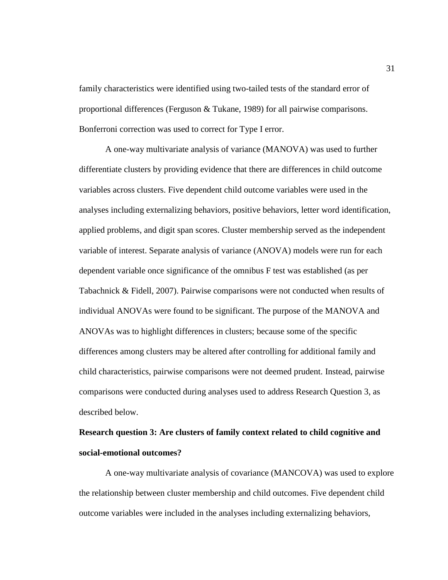family characteristics were identified using two-tailed tests of the standard error of proportional differences (Ferguson & Tukane, 1989) for all pairwise comparisons. Bonferroni correction was used to correct for Type I error.

A one-way multivariate analysis of variance (MANOVA) was used to further differentiate clusters by providing evidence that there are differences in child outcome variables across clusters. Five dependent child outcome variables were used in the analyses including externalizing behaviors, positive behaviors, letter word identification, applied problems, and digit span scores. Cluster membership served as the independent variable of interest. Separate analysis of variance (ANOVA) models were run for each dependent variable once significance of the omnibus F test was established (as per Tabachnick & Fidell, 2007). Pairwise comparisons were not conducted when results of individual ANOVAs were found to be significant. The purpose of the MANOVA and ANOVAs was to highlight differences in clusters; because some of the specific differences among clusters may be altered after controlling for additional family and child characteristics, pairwise comparisons were not deemed prudent. Instead, pairwise comparisons were conducted during analyses used to address Research Question 3, as described below.

# **Research question 3: Are clusters of family context related to child cognitive and social-emotional outcomes?**

A one-way multivariate analysis of covariance (MANCOVA) was used to explore the relationship between cluster membership and child outcomes. Five dependent child outcome variables were included in the analyses including externalizing behaviors,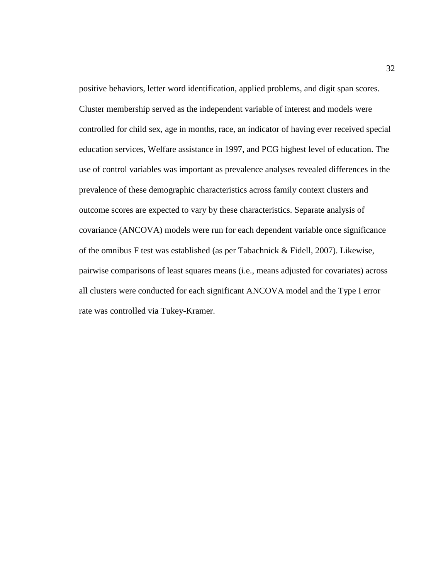positive behaviors, letter word identification, applied problems, and digit span scores. Cluster membership served as the independent variable of interest and models were controlled for child sex, age in months, race, an indicator of having ever received special education services, Welfare assistance in 1997, and PCG highest level of education. The use of control variables was important as prevalence analyses revealed differences in the prevalence of these demographic characteristics across family context clusters and outcome scores are expected to vary by these characteristics. Separate analysis of covariance (ANCOVA) models were run for each dependent variable once significance of the omnibus F test was established (as per Tabachnick & Fidell, 2007). Likewise, pairwise comparisons of least squares means (i.e., means adjusted for covariates) across all clusters were conducted for each significant ANCOVA model and the Type I error rate was controlled via Tukey-Kramer.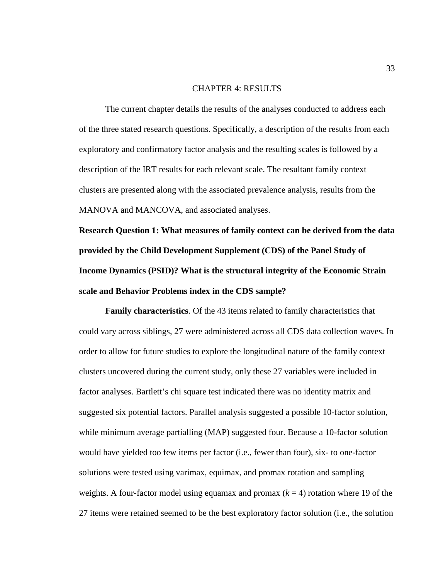### CHAPTER 4: RESULTS

The current chapter details the results of the analyses conducted to address each of the three stated research questions. Specifically, a description of the results from each exploratory and confirmatory factor analysis and the resulting scales is followed by a description of the IRT results for each relevant scale. The resultant family context clusters are presented along with the associated prevalence analysis, results from the MANOVA and MANCOVA, and associated analyses.

**Research Question 1: What measures of family context can be derived from the data provided by the Child Development Supplement (CDS) of the Panel Study of Income Dynamics (PSID)? What is the structural integrity of the Economic Strain scale and Behavior Problems index in the CDS sample?**

**Family characteristics**. Of the 43 items related to family characteristics that could vary across siblings, 27 were administered across all CDS data collection waves. In order to allow for future studies to explore the longitudinal nature of the family context clusters uncovered during the current study, only these 27 variables were included in factor analyses. Bartlett's chi square test indicated there was no identity matrix and suggested six potential factors. Parallel analysis suggested a possible 10-factor solution, while minimum average partialling (MAP) suggested four. Because a 10-factor solution would have yielded too few items per factor (i.e., fewer than four), six- to one-factor solutions were tested using varimax, equimax, and promax rotation and sampling weights. A four-factor model using equamax and promax  $(k = 4)$  rotation where 19 of the 27 items were retained seemed to be the best exploratory factor solution (i.e., the solution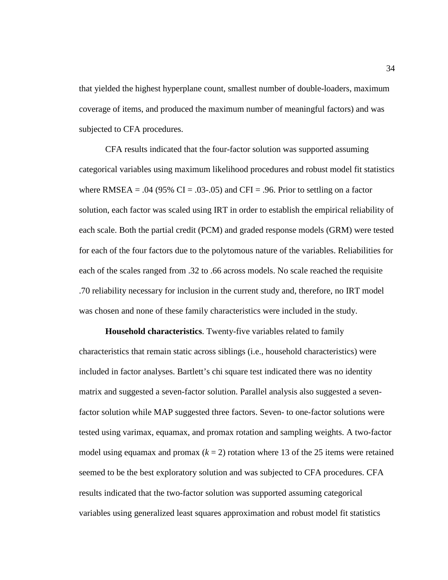that yielded the highest hyperplane count, smallest number of double-loaders, maximum coverage of items, and produced the maximum number of meaningful factors) and was subjected to CFA procedures.

CFA results indicated that the four-factor solution was supported assuming categorical variables using maximum likelihood procedures and robust model fit statistics where RMSEA =  $.04$  (95% CI =  $.03$ - $.05$ ) and CFI =  $.96$ . Prior to settling on a factor solution, each factor was scaled using IRT in order to establish the empirical reliability of each scale. Both the partial credit (PCM) and graded response models (GRM) were tested for each of the four factors due to the polytomous nature of the variables. Reliabilities for each of the scales ranged from .32 to .66 across models. No scale reached the requisite .70 reliability necessary for inclusion in the current study and, therefore, no IRT model was chosen and none of these family characteristics were included in the study.

**Household characteristics**. Twenty-five variables related to family characteristics that remain static across siblings (i.e., household characteristics) were included in factor analyses. Bartlett's chi square test indicated there was no identity matrix and suggested a seven-factor solution. Parallel analysis also suggested a sevenfactor solution while MAP suggested three factors. Seven- to one-factor solutions were tested using varimax, equamax, and promax rotation and sampling weights. A two-factor model using equamax and promax  $(k = 2)$  rotation where 13 of the 25 items were retained seemed to be the best exploratory solution and was subjected to CFA procedures. CFA results indicated that the two-factor solution was supported assuming categorical variables using generalized least squares approximation and robust model fit statistics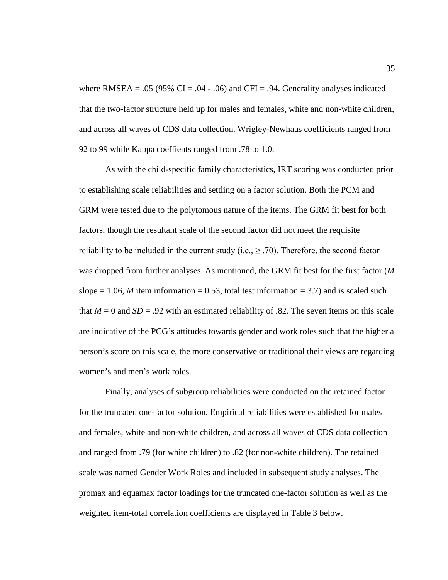where RMSEA =  $.05$  (95% CI =  $.04 - .06$ ) and CFI =  $.94$ . Generality analyses indicated that the two-factor structure held up for males and females, white and non-white children, and across all waves of CDS data collection. Wrigley-Newhaus coefficients ranged from 92 to 99 while Kappa coeffients ranged from .78 to 1.0.

As with the child-specific family characteristics, IRT scoring was conducted prior to establishing scale reliabilities and settling on a factor solution. Both the PCM and GRM were tested due to the polytomous nature of the items. The GRM fit best for both factors, though the resultant scale of the second factor did not meet the requisite reliability to be included in the current study (i.e.,  $\geq$  .70). Therefore, the second factor was dropped from further analyses. As mentioned, the GRM fit best for the first factor (*M* slope  $= 1.06$ , *M* item information  $= 0.53$ , total test information  $= 3.7$ ) and is scaled such that  $M = 0$  and  $SD = .92$  with an estimated reliability of .82. The seven items on this scale are indicative of the PCG's attitudes towards gender and work roles such that the higher a person's score on this scale, the more conservative or traditional their views are regarding women's and men's work roles.

Finally, analyses of subgroup reliabilities were conducted on the retained factor for the truncated one-factor solution. Empirical reliabilities were established for males and females, white and non-white children, and across all waves of CDS data collection and ranged from .79 (for white children) to .82 (for non-white children). The retained scale was named Gender Work Roles and included in subsequent study analyses. The promax and equamax factor loadings for the truncated one-factor solution as well as the weighted item-total correlation coefficients are displayed in Table 3 below.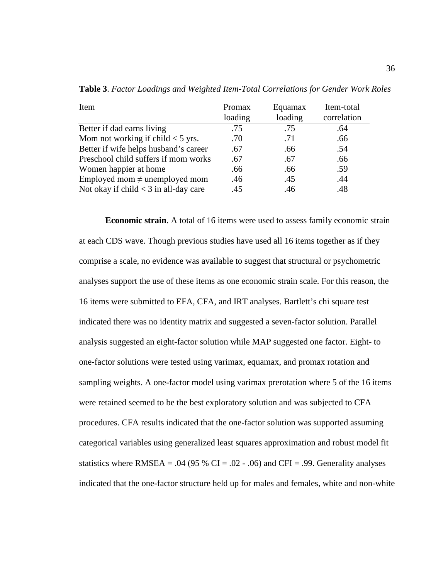| Item                                    | Promax  | Equamax | Item-total  |
|-----------------------------------------|---------|---------|-------------|
|                                         | loading | loading | correlation |
| Better if dad earns living              | .75     | .75     | .64         |
| Mom not working if child $<$ 5 yrs.     | .70     | .71     | .66         |
| Better if wife helps husband's career   | .67     | .66     | .54         |
| Preschool child suffers if mom works    | .67     | .67     | .66         |
| Women happier at home                   | .66     | .66     | .59         |
| Employed mom $\neq$ unemployed mom      | .46     | .45     | .44         |
| Not okay if child $<$ 3 in all-day care | .45     | .46     | .48         |

**Table 3**. *Factor Loadings and Weighted Item-Total Correlations for Gender Work Roles*

**Economic strain**. A total of 16 items were used to assess family economic strain at each CDS wave. Though previous studies have used all 16 items together as if they comprise a scale, no evidence was available to suggest that structural or psychometric analyses support the use of these items as one economic strain scale. For this reason, the 16 items were submitted to EFA, CFA, and IRT analyses. Bartlett's chi square test indicated there was no identity matrix and suggested a seven-factor solution. Parallel analysis suggested an eight-factor solution while MAP suggested one factor. Eight- to one-factor solutions were tested using varimax, equamax, and promax rotation and sampling weights. A one-factor model using varimax prerotation where 5 of the 16 items were retained seemed to be the best exploratory solution and was subjected to CFA procedures. CFA results indicated that the one-factor solution was supported assuming categorical variables using generalized least squares approximation and robust model fit statistics where RMSEA = .04 (95 % CI = .02 - .06) and CFI = .99. Generality analyses indicated that the one-factor structure held up for males and females, white and non-white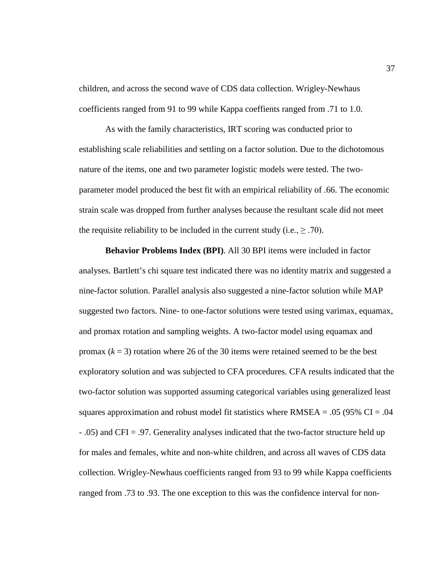children, and across the second wave of CDS data collection. Wrigley-Newhaus coefficients ranged from 91 to 99 while Kappa coeffients ranged from .71 to 1.0.

As with the family characteristics, IRT scoring was conducted prior to establishing scale reliabilities and settling on a factor solution. Due to the dichotomous nature of the items, one and two parameter logistic models were tested. The twoparameter model produced the best fit with an empirical reliability of .66. The economic strain scale was dropped from further analyses because the resultant scale did not meet the requisite reliability to be included in the current study (i.e.,  $\geq$  .70).

**Behavior Problems Index (BPI)**. All 30 BPI items were included in factor analyses. Bartlett's chi square test indicated there was no identity matrix and suggested a nine-factor solution. Parallel analysis also suggested a nine-factor solution while MAP suggested two factors. Nine- to one-factor solutions were tested using varimax, equamax, and promax rotation and sampling weights. A two-factor model using equamax and promax  $(k = 3)$  rotation where 26 of the 30 items were retained seemed to be the best exploratory solution and was subjected to CFA procedures. CFA results indicated that the two-factor solution was supported assuming categorical variables using generalized least squares approximation and robust model fit statistics where  $RMSEA = .05$  (95% CI = .04 - .05) and CFI = .97. Generality analyses indicated that the two-factor structure held up for males and females, white and non-white children, and across all waves of CDS data collection. Wrigley-Newhaus coefficients ranged from 93 to 99 while Kappa coefficients ranged from .73 to .93. The one exception to this was the confidence interval for non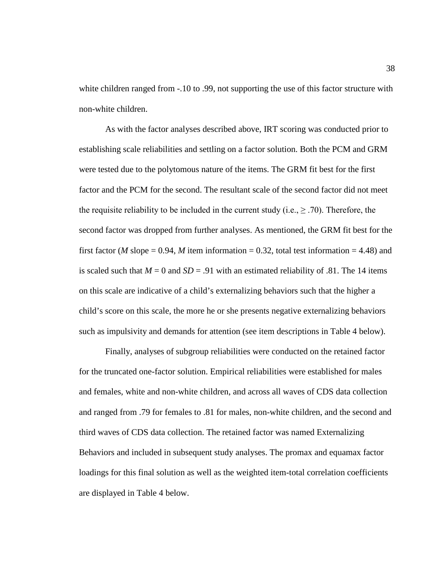white children ranged from  $-.10$  to  $.99$ , not supporting the use of this factor structure with non-white children.

As with the factor analyses described above, IRT scoring was conducted prior to establishing scale reliabilities and settling on a factor solution. Both the PCM and GRM were tested due to the polytomous nature of the items. The GRM fit best for the first factor and the PCM for the second. The resultant scale of the second factor did not meet the requisite reliability to be included in the current study (i.e.,  $\geq$  .70). Therefore, the second factor was dropped from further analyses. As mentioned, the GRM fit best for the first factor (*M* slope = 0.94, *M* item information = 0.32, total test information = 4.48) and is scaled such that  $M = 0$  and  $SD = .91$  with an estimated reliability of .81. The 14 items on this scale are indicative of a child's externalizing behaviors such that the higher a child's score on this scale, the more he or she presents negative externalizing behaviors such as impulsivity and demands for attention (see item descriptions in Table 4 below).

Finally, analyses of subgroup reliabilities were conducted on the retained factor for the truncated one-factor solution. Empirical reliabilities were established for males and females, white and non-white children, and across all waves of CDS data collection and ranged from .79 for females to .81 for males, non-white children, and the second and third waves of CDS data collection. The retained factor was named Externalizing Behaviors and included in subsequent study analyses. The promax and equamax factor loadings for this final solution as well as the weighted item-total correlation coefficients are displayed in Table 4 below.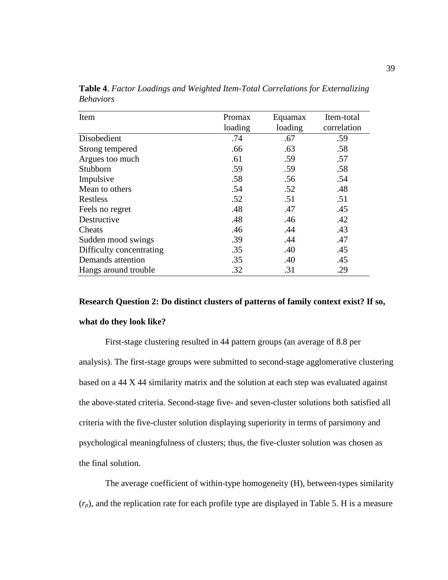| Item                     | Promax  | Equamax | Item-total  |
|--------------------------|---------|---------|-------------|
|                          | loading | loading | correlation |
| Disobedient              | .74     | .67     | .59         |
| Strong tempered          | .66     | .63     | .58         |
| Argues too much          | .61     | .59     | .57         |
| Stubborn                 | .59     | .59     | .58         |
| Impulsive                | .58     | .56     | .54         |
| Mean to others           | .54     | .52     | .48         |
| Restless                 | .52     | .51     | .51         |
| Feels no regret          | .48     | .47     | .45         |
| Destructive              | .48     | .46     | .42         |
| Cheats                   | .46     | .44     | .43         |
| Sudden mood swings       | .39     | .44     | .47         |
| Difficulty concentrating | .35     | .40     | .45         |
| Demands attention        | .35     | .40     | .45         |
| Hangs around trouble     | .32     | .31     | .29         |

**Table 4**. *Factor Loadings and Weighted Item-Total Correlations for Externalizing Behaviors*

# **Research Question 2: Do distinct clusters of patterns of family context exist? If so, what do they look like?**

First-stage clustering resulted in 44 pattern groups (an average of 8.8 per analysis). The first-stage groups were submitted to second-stage agglomerative clustering based on a 44 X 44 similarity matrix and the solution at each step was evaluated against the above-stated criteria. Second-stage five- and seven-cluster solutions both satisfied all criteria with the five-cluster solution displaying superiority in terms of parsimony and psychological meaningfulness of clusters; thus, the five-cluster solution was chosen as the final solution.

The average coefficient of within-type homogeneity (H), between-types similarity (*rp*), and the replication rate for each profile type are displayed in Table 5. H is a measure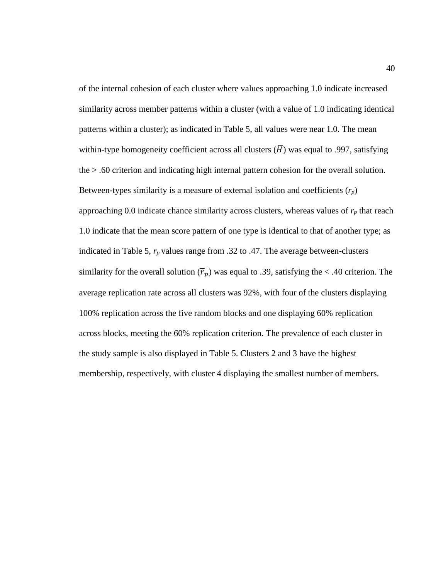of the internal cohesion of each cluster where values approaching 1.0 indicate increased similarity across member patterns within a cluster (with a value of 1.0 indicating identical patterns within a cluster); as indicated in Table 5, all values were near 1.0. The mean within-type homogeneity coefficient across all clusters  $(\overline{H})$  was equal to .997, satisfying the > .60 criterion and indicating high internal pattern cohesion for the overall solution. Between-types similarity is a measure of external isolation and coefficients  $(r_p)$ approaching 0.0 indicate chance similarity across clusters, whereas values of  $r_p$  that reach 1.0 indicate that the mean score pattern of one type is identical to that of another type; as indicated in Table 5, *rp* values range from .32 to .47. The average between-clusters similarity for the overall solution  $(\overline{r}_p)$  was equal to .39, satisfying the < .40 criterion. The average replication rate across all clusters was 92%, with four of the clusters displaying 100% replication across the five random blocks and one displaying 60% replication across blocks, meeting the 60% replication criterion. The prevalence of each cluster in the study sample is also displayed in Table 5. Clusters 2 and 3 have the highest membership, respectively, with cluster 4 displaying the smallest number of members.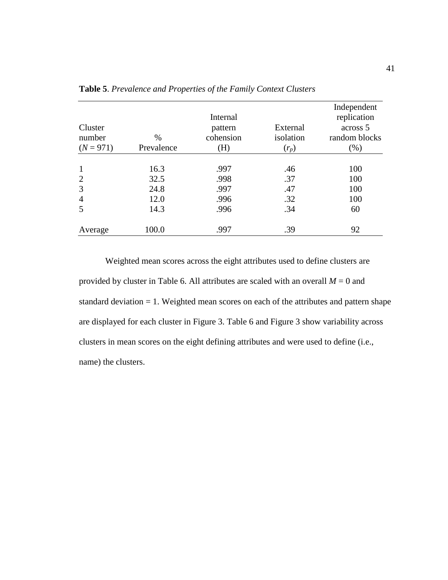| Cluster<br>number<br>$(N = 971)$ | $\%$<br>Prevalence | Internal<br>pattern<br>cohension<br>(H) | External<br>isolation<br>$(r_p)$ | Independent<br>replication<br>across 5<br>random blocks<br>$(\% )$ |
|----------------------------------|--------------------|-----------------------------------------|----------------------------------|--------------------------------------------------------------------|
|                                  |                    |                                         |                                  |                                                                    |
| $\mathbf{1}$                     | 16.3               | .997                                    | .46                              | 100                                                                |
| $\overline{2}$                   | 32.5               | .998                                    | .37                              | 100                                                                |
| 3                                | 24.8               | .997                                    | .47                              | 100                                                                |
| $\overline{4}$                   | 12.0               | .996                                    | .32                              | 100                                                                |
| 5                                | 14.3               | .996                                    | .34                              | 60                                                                 |
| Average                          | 100.0              | .997                                    | .39                              | 92                                                                 |

**Table 5**. *Prevalence and Properties of the Family Context Clusters*

Weighted mean scores across the eight attributes used to define clusters are provided by cluster in Table 6. All attributes are scaled with an overall *M* = 0 and standard deviation = 1. Weighted mean scores on each of the attributes and pattern shape are displayed for each cluster in Figure 3. Table 6 and Figure 3 show variability across clusters in mean scores on the eight defining attributes and were used to define (i.e., name) the clusters.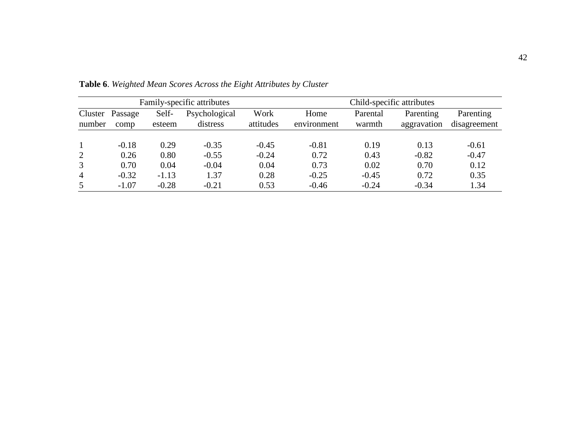| Family-specific attributes |                 |                 | Child-specific attributes |                   |                     |                    |                          |                           |
|----------------------------|-----------------|-----------------|---------------------------|-------------------|---------------------|--------------------|--------------------------|---------------------------|
| Cluster<br>number          | Passage<br>comp | Self-<br>esteem | Psychological<br>distress | Work<br>attitudes | Home<br>environment | Parental<br>warmth | Parenting<br>aggravation | Parenting<br>disagreement |
|                            | $-0.18$         | 0.29            | $-0.35$                   | $-0.45$           | $-0.81$             | 0.19               | 0.13                     | $-0.61$                   |
| 2                          | 0.26            | 0.80            | $-0.55$                   | $-0.24$           | 0.72                | 0.43               | $-0.82$                  | $-0.47$                   |
| 3                          | 0.70            | 0.04            | $-0.04$                   | 0.04              | 0.73                | 0.02               | 0.70                     | 0.12                      |
| $\overline{4}$             | $-0.32$         | $-1.13$         | 1.37                      | 0.28              | $-0.25$             | $-0.45$            | 0.72                     | 0.35                      |
| 5                          | $-1.07$         | $-0.28$         | $-0.21$                   | 0.53              | $-0.46$             | $-0.24$            | $-0.34$                  | 1.34                      |

**Table 6**. *Weighted Mean Scores Across the Eight Attributes by Cluster*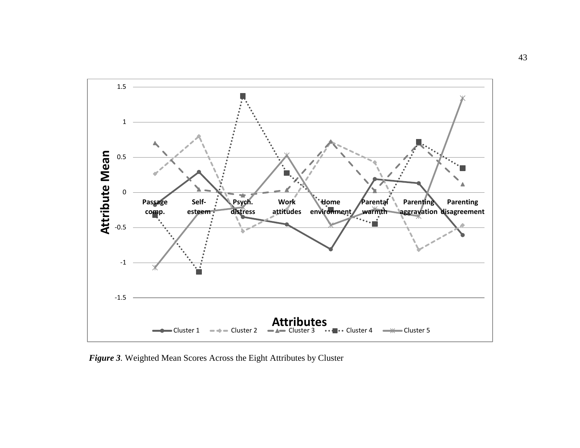

*Figure 3.* Weighted Mean Scores Across the Eight Attributes by Cluster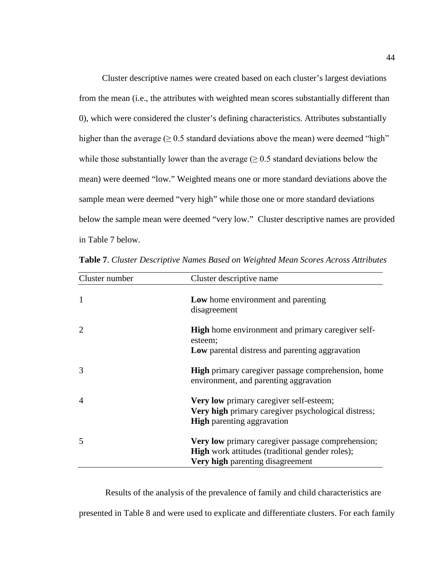Cluster descriptive names were created based on each cluster's largest deviations from the mean (i.e., the attributes with weighted mean scores substantially different than 0), which were considered the cluster's defining characteristics. Attributes substantially higher than the average  $(≥ 0.5$  standard deviations above the mean) were deemed "high" while those substantially lower than the average  $(≥ 0.5$  standard deviations below the mean) were deemed "low." Weighted means one or more standard deviations above the sample mean were deemed "very high" while those one or more standard deviations below the sample mean were deemed "very low." Cluster descriptive names are provided in Table 7 below.

| Cluster number         | Cluster descriptive name                                                                                                                        |
|------------------------|-------------------------------------------------------------------------------------------------------------------------------------------------|
| $\mathbf{1}$           | Low home environment and parenting<br>disagreement                                                                                              |
| $\overline{2}$         | <b>High</b> home environment and primary caregiver self-<br>esteem;<br>Low parental distress and parenting aggravation                          |
|                        |                                                                                                                                                 |
| 3                      | <b>High</b> primary caregiver passage comprehension, home<br>environment, and parenting aggravation                                             |
| $\boldsymbol{\Lambda}$ | Very low primary caregiver self-esteem;<br>Very high primary caregiver psychological distress;<br><b>High</b> parenting aggravation             |
| 5                      | Very low primary caregiver passage comprehension;<br><b>High</b> work attitudes (traditional gender roles);<br>Very high parenting disagreement |

**Table 7**. *Cluster Descriptive Names Based on Weighted Mean Scores Across Attributes*

Results of the analysis of the prevalence of family and child characteristics are presented in Table 8 and were used to explicate and differentiate clusters. For each family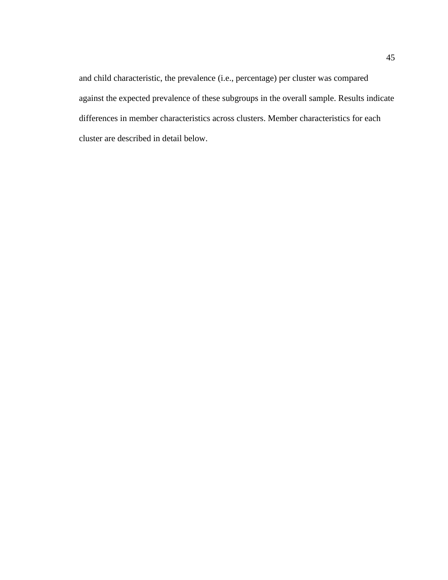and child characteristic, the prevalence (i.e., percentage) per cluster was compared against the expected prevalence of these subgroups in the overall sample. Results indicate differences in member characteristics across clusters. Member characteristics for each cluster are described in detail below.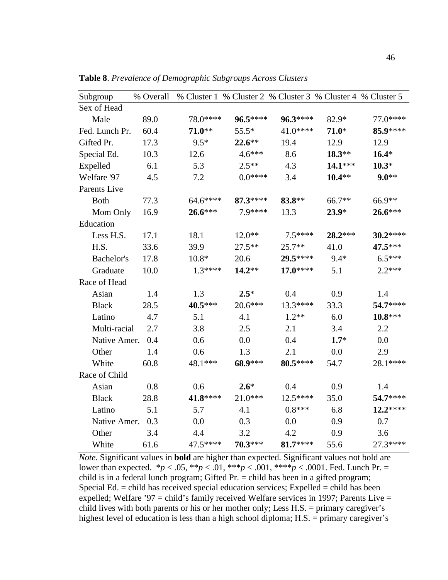| Subgroup       | % Overall | % Cluster 1 % Cluster 2 % Cluster 3 % Cluster 4 % Cluster 5 |           |            |           |           |
|----------------|-----------|-------------------------------------------------------------|-----------|------------|-----------|-----------|
| Sex of Head    |           |                                                             |           |            |           |           |
| Male           | 89.0      | 78.0****                                                    | $96.5***$ | $96.3***$  | 82.9*     | 77.0****  |
| Fed. Lunch Pr. | 60.4      | $71.0**$                                                    | $55.5*$   | 41.0****   | $71.0*$   | 85.9****  |
| Gifted Pr.     | 17.3      | $9.5*$                                                      | $22.6***$ | 19.4       | 12.9      | 12.9      |
| Special Ed.    | 10.3      | 12.6                                                        | $4.6***$  | 8.6        | $18.3**$  | $16.4*$   |
| Expelled       | 6.1       | 5.3                                                         | $2.5**$   | 4.3        | $14.1***$ | $10.3*$   |
| Welfare '97    | 4.5       | 7.2                                                         | $0.0***$  | 3.4        | $10.4**$  | $9.0**$   |
| Parents Live   |           |                                                             |           |            |           |           |
| <b>Both</b>    | 77.3      | 64.6****                                                    | $87.3***$ | 83.8**     | 66.7**    | 66.9**    |
| Mom Only       | 16.9      | $26.6***$                                                   | 7.9****   | 13.3       | $23.9*$   | $26.6***$ |
| Education      |           |                                                             |           |            |           |           |
| Less H.S.      | 17.1      | 18.1                                                        | $12.0**$  | $7.5***$   | 28.2***   | $30.2***$ |
| H.S.           | 33.6      | 39.9                                                        | $27.5***$ | $25.7**$   | 41.0      | 47.5***   |
| Bachelor's     | 17.8      | $10.8*$                                                     | 20.6      | 29.5****   | $9.4*$    | $6.5***$  |
| Graduate       | 10.0      | $1.3***$                                                    | $14.2**$  | $17.0***$  | 5.1       | $2.2***$  |
| Race of Head   |           |                                                             |           |            |           |           |
| Asian          | 1.4       | 1.3                                                         | $2.5*$    | 0.4        | 0.9       | 1.4       |
| <b>Black</b>   | 28.5      | 40.5***                                                     | $20.6***$ | $13.3****$ | 33.3      | 54.7****  |
| Latino         | 4.7       | 5.1                                                         | 4.1       | $1.2**$    | 6.0       | $10.8***$ |
| Multi-racial   | 2.7       | 3.8                                                         | 2.5       | 2.1        | 3.4       | 2.2       |
| Native Amer.   | 0.4       | 0.6                                                         | 0.0       | 0.4        | $1.7*$    | 0.0       |
| Other          | 1.4       | 0.6                                                         | 1.3       | 2.1        | 0.0       | 2.9       |
| White          | 60.8      | 48.1***                                                     | 68.9***   | $80.5***$  | 54.7      | 28.1 **** |
| Race of Child  |           |                                                             |           |            |           |           |
| Asian          | 0.8       | 0.6                                                         | $2.6*$    | 0.4        | 0.9       | 1.4       |
| <b>Black</b>   | 28.8      | 41.8****                                                    | $21.0***$ | $12.5***$  | 35.0      | 54.7****  |
| Latino         | 5.1       | 5.7                                                         | 4.1       | $0.8***$   | 6.8       | $12.2***$ |
| Native Amer.   | 0.3       | 0.0                                                         | 0.3       | 0.0        | 0.9       | 0.7       |
| Other          | 3.4       | 4.4                                                         | 3.2       | 4.2        | 0.9       | 3.6       |
| White          | 61.6      | 47.5****                                                    | 70.3***   | $81.7***$  | 55.6      | 27.3****  |

**Table 8**. *Prevalence of Demographic Subgroups Across Clusters*

*Note*. Significant values in **bold** are higher than expected. Significant values not bold are lower than expected. \**p* < .05, \*\**p* < .01, \*\*\**p* < .001, \*\*\*\**p* < .0001. Fed. Lunch Pr. = child is in a federal lunch program; Gifted Pr. = child has been in a gifted program; Special Ed.  $=$  child has received special education services; Expelled  $=$  child has been expelled; Welfare '97 = child's family received Welfare services in 1997; Parents Live = child lives with both parents or his or her mother only; Less H.S. = primary caregiver's highest level of education is less than a high school diploma; H.S. = primary caregiver's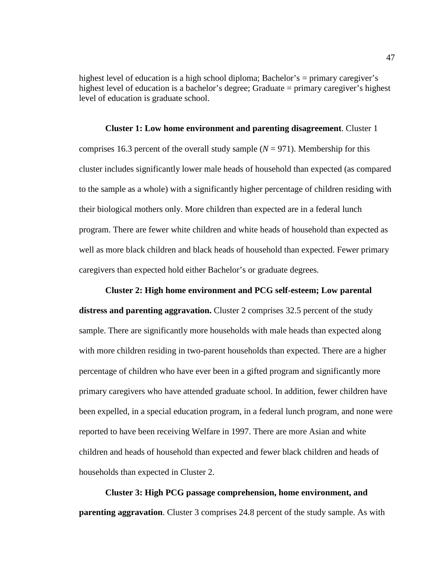highest level of education is a high school diploma; Bachelor's = primary caregiver's highest level of education is a bachelor's degree; Graduate = primary caregiver's highest level of education is graduate school.

#### **Cluster 1: Low home environment and parenting disagreement**. Cluster 1

comprises 16.3 percent of the overall study sample  $(N = 971)$ . Membership for this cluster includes significantly lower male heads of household than expected (as compared to the sample as a whole) with a significantly higher percentage of children residing with their biological mothers only. More children than expected are in a federal lunch program. There are fewer white children and white heads of household than expected as well as more black children and black heads of household than expected. Fewer primary caregivers than expected hold either Bachelor's or graduate degrees.

**Cluster 2: High home environment and PCG self-esteem; Low parental distress and parenting aggravation.** Cluster 2 comprises 32.5 percent of the study sample. There are significantly more households with male heads than expected along with more children residing in two-parent households than expected. There are a higher percentage of children who have ever been in a gifted program and significantly more primary caregivers who have attended graduate school. In addition, fewer children have been expelled, in a special education program, in a federal lunch program, and none were reported to have been receiving Welfare in 1997. There are more Asian and white children and heads of household than expected and fewer black children and heads of households than expected in Cluster 2.

**Cluster 3: High PCG passage comprehension, home environment, and parenting aggravation.** Cluster 3 comprises 24.8 percent of the study sample. As with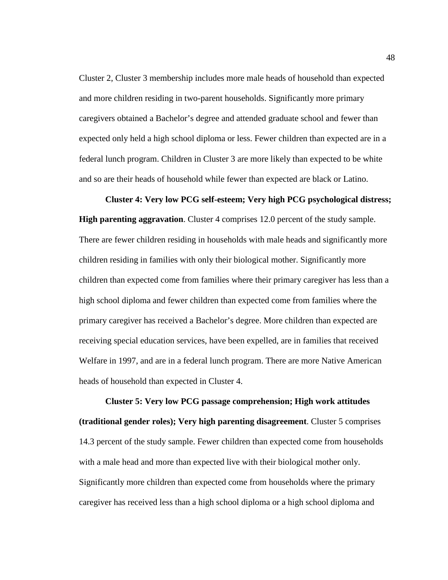Cluster 2, Cluster 3 membership includes more male heads of household than expected and more children residing in two-parent households. Significantly more primary caregivers obtained a Bachelor's degree and attended graduate school and fewer than expected only held a high school diploma or less. Fewer children than expected are in a federal lunch program. Children in Cluster 3 are more likely than expected to be white and so are their heads of household while fewer than expected are black or Latino.

#### **Cluster 4: Very low PCG self-esteem; Very high PCG psychological distress;**

**High parenting aggravation**. Cluster 4 comprises 12.0 percent of the study sample. There are fewer children residing in households with male heads and significantly more children residing in families with only their biological mother. Significantly more children than expected come from families where their primary caregiver has less than a high school diploma and fewer children than expected come from families where the primary caregiver has received a Bachelor's degree. More children than expected are receiving special education services, have been expelled, are in families that received Welfare in 1997, and are in a federal lunch program. There are more Native American heads of household than expected in Cluster 4.

**Cluster 5: Very low PCG passage comprehension; High work attitudes (traditional gender roles); Very high parenting disagreement**. Cluster 5 comprises 14.3 percent of the study sample. Fewer children than expected come from households with a male head and more than expected live with their biological mother only. Significantly more children than expected come from households where the primary caregiver has received less than a high school diploma or a high school diploma and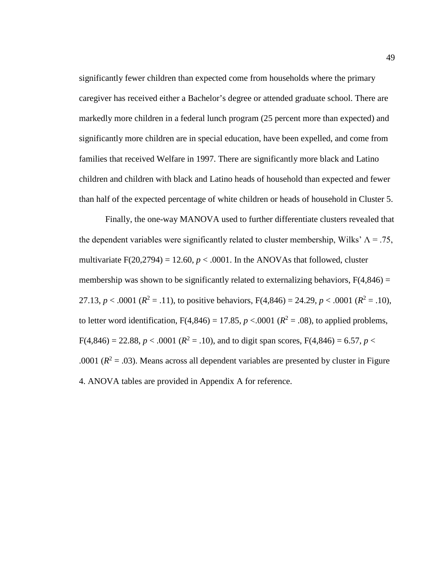significantly fewer children than expected come from households where the primary caregiver has received either a Bachelor's degree or attended graduate school. There are markedly more children in a federal lunch program (25 percent more than expected) and significantly more children are in special education, have been expelled, and come from families that received Welfare in 1997. There are significantly more black and Latino children and children with black and Latino heads of household than expected and fewer than half of the expected percentage of white children or heads of household in Cluster 5.

Finally, the one-way MANOVA used to further differentiate clusters revealed that the dependent variables were significantly related to cluster membership, Wilks'  $\Lambda = .75$ , multivariate  $F(20,2794) = 12.60$ ,  $p < .0001$ . In the ANOVAs that followed, cluster membership was shown to be significantly related to externalizing behaviors,  $F(4,846) =$ 27.13,  $p < .0001$  ( $R^2 = .11$ ), to positive behaviors,  $F(4,846) = 24.29$ ,  $p < .0001$  ( $R^2 = .10$ ), to letter word identification,  $F(4,846) = 17.85$ ,  $p < .0001$  ( $R^2 = .08$ ), to applied problems,  $F(4,846) = 22.88, p < .0001$  ( $R<sup>2</sup> = .10$ ), and to digit span scores,  $F(4,846) = 6.57, p < .0001$ .0001 ( $R^2$  = .03). Means across all dependent variables are presented by cluster in Figure 4. ANOVA tables are provided in Appendix A for reference.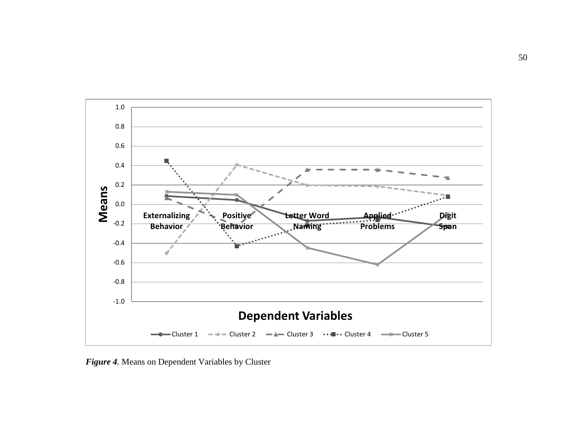

*Figure 4.* Means on Dependent Variables by Cluster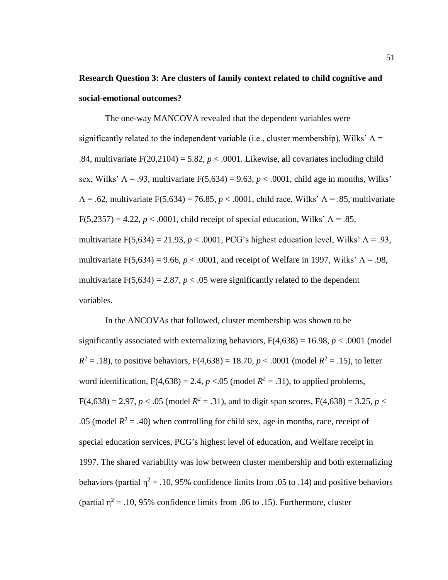# **Research Question 3: Are clusters of family context related to child cognitive and social-emotional outcomes?**

The one-way MANCOVA revealed that the dependent variables were significantly related to the independent variable (i.e., cluster membership), Wilks'  $\Lambda$  = .84, multivariate  $F(20,2104) = 5.82$ ,  $p < .0001$ . Likewise, all covariates including child sex, Wilks'  $\Lambda$  = .93, multivariate F(5,634) = 9.63,  $p < .0001$ , child age in months, Wilks'  $\Lambda$  = .62, multivariate F(5,634) = 76.85, *p* < .0001, child race, Wilks'  $\Lambda$  = .85, multivariate F(5,2357) = 4.22,  $p < .0001$ , child receipt of special education, Wilks'  $\Lambda = .85$ , multivariate F(5,634) = 21.93,  $p < .0001$ , PCG's highest education level, Wilks'  $\Lambda = .93$ , multivariate F(5,634) = 9.66,  $p < .0001$ , and receipt of Welfare in 1997, Wilks'  $\Lambda = .98$ , multivariate  $F(5,634) = 2.87$ ,  $p < .05$  were significantly related to the dependent variables.

In the ANCOVAs that followed, cluster membership was shown to be significantly associated with externalizing behaviors,  $F(4,638) = 16.98$ ,  $p < .0001$  (model  $R^2 = .18$ ), to positive behaviors,  $F(4,638) = 18.70$ ,  $p < .0001$  (model  $R^2 = .15$ ), to letter word identification,  $F(4,638) = 2.4$ ,  $p < .05$  (model  $R^2 = .31$ ), to applied problems,  $F(4,638) = 2.97, p < .05$  (model  $R^2 = .31$ ), and to digit span scores,  $F(4,638) = 3.25, p <$ .05 (model  $R^2 = .40$ ) when controlling for child sex, age in months, race, receipt of special education services, PCG's highest level of education, and Welfare receipt in 1997. The shared variability was low between cluster membership and both externalizing behaviors (partial  $\eta^2 = .10, 95\%$  confidence limits from .05 to .14) and positive behaviors (partial  $\eta^2$  = .10, 95% confidence limits from .06 to .15). Furthermore, cluster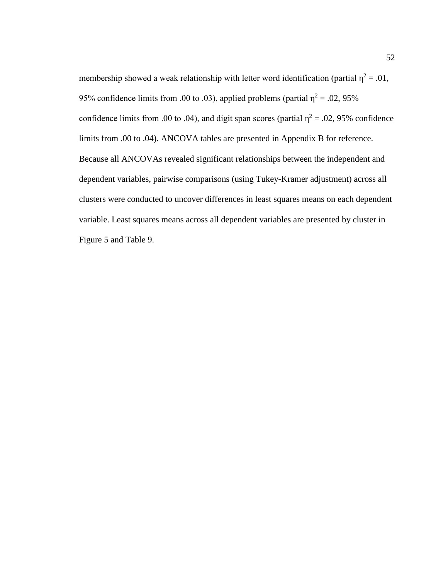membership showed a weak relationship with letter word identification (partial  $\eta^2 = .01$ , 95% confidence limits from .00 to .03), applied problems (partial  $\eta^2 = .02, 95\%$ confidence limits from .00 to .04), and digit span scores (partial  $\eta^2 = .02, 95\%$  confidence limits from .00 to .04). ANCOVA tables are presented in Appendix B for reference. Because all ANCOVAs revealed significant relationships between the independent and dependent variables, pairwise comparisons (using Tukey-Kramer adjustment) across all clusters were conducted to uncover differences in least squares means on each dependent variable. Least squares means across all dependent variables are presented by cluster in Figure 5 and Table 9.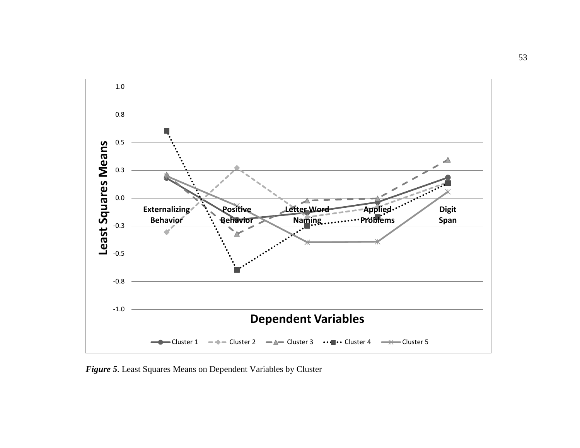

*Figure 5*. Least Squares Means on Dependent Variables by Cluster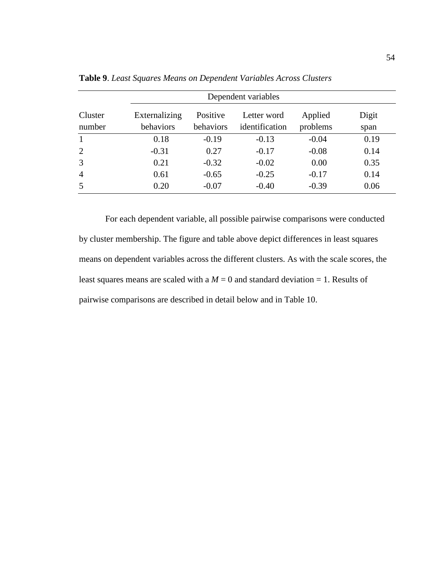|                   | Dependent variables        |                       |                               |                     |               |
|-------------------|----------------------------|-----------------------|-------------------------------|---------------------|---------------|
| Cluster<br>number | Externalizing<br>behaviors | Positive<br>behaviors | Letter word<br>identification | Applied<br>problems | Digit<br>span |
| $\mathbf{1}$      | 0.18                       | $-0.19$               | $-0.13$                       | $-0.04$             | 0.19          |
| $\overline{2}$    | $-0.31$                    | 0.27                  | $-0.17$                       | $-0.08$             | 0.14          |
| $\overline{3}$    | 0.21                       | $-0.32$               | $-0.02$                       | 0.00                | 0.35          |
| $\overline{4}$    | 0.61                       | $-0.65$               | $-0.25$                       | $-0.17$             | 0.14          |
| 5                 | 0.20                       | $-0.07$               | $-0.40$                       | $-0.39$             | 0.06          |

**Table 9**. *Least Squares Means on Dependent Variables Across Clusters*

For each dependent variable, all possible pairwise comparisons were conducted by cluster membership. The figure and table above depict differences in least squares means on dependent variables across the different clusters. As with the scale scores, the least squares means are scaled with a  $M = 0$  and standard deviation = 1. Results of pairwise comparisons are described in detail below and in Table 10.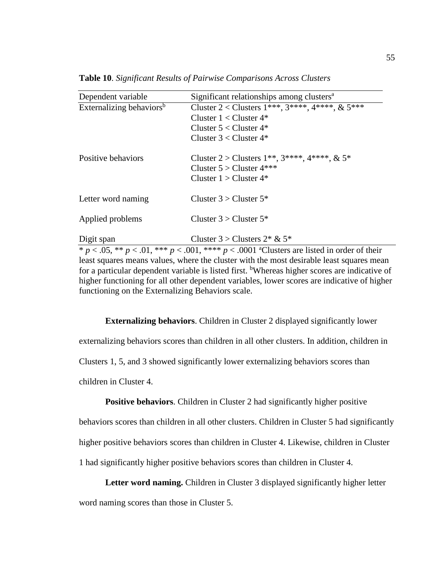| Dependent variable                   | Significant relationships among clusters <sup>a</sup>            |
|--------------------------------------|------------------------------------------------------------------|
| Externalizing behaviors <sup>b</sup> | Cluster 2 < Clusters 1***, 3****, 4****, & 5***                  |
|                                      | Cluster $1 <$ Cluster $4^*$                                      |
|                                      | Cluster $5 <$ Cluster $4^*$                                      |
|                                      | Cluster $3 <$ Cluster $4^*$                                      |
| Positive behaviors                   | Cluster 2 > Clusters $1^{**}$ , $3^{***}$ , $4^{***}$ , $\& 5^*$ |
|                                      | Cluster $5 >$ Cluster $4***$                                     |
|                                      | Cluster $1 >$ Cluster $4^*$                                      |
| Letter word naming                   | Cluster $3 >$ Cluster $5^*$                                      |
| Applied problems                     | Cluster $3 >$ Cluster $5^*$                                      |
| Digit span                           | Cluster $3 >$ Clusters $2 * \& 5*$                               |

**Table 10**. *Significant Results of Pairwise Comparisons Across Clusters*

\*  $p < .05$ , \*\*  $p < .01$ , \*\*\*  $p < .001$ , \*\*\*\*  $p < .0001$  <sup>a</sup>Clusters are listed in order of their least squares means values, where the cluster with the most desirable least squares mean for a particular dependent variable is listed first. <sup>b</sup>Whereas higher scores are indicative of higher functioning for all other dependent variables, lower scores are indicative of higher functioning on the Externalizing Behaviors scale.

**Externalizing behaviors**. Children in Cluster 2 displayed significantly lower externalizing behaviors scores than children in all other clusters. In addition, children in Clusters 1, 5, and 3 showed significantly lower externalizing behaviors scores than children in Cluster 4.

**Positive behaviors.** Children in Cluster 2 had significantly higher positive

behaviors scores than children in all other clusters. Children in Cluster 5 had significantly higher positive behaviors scores than children in Cluster 4. Likewise, children in Cluster 1 had significantly higher positive behaviors scores than children in Cluster 4.

**Letter word naming.** Children in Cluster 3 displayed significantly higher letter

word naming scores than those in Cluster 5.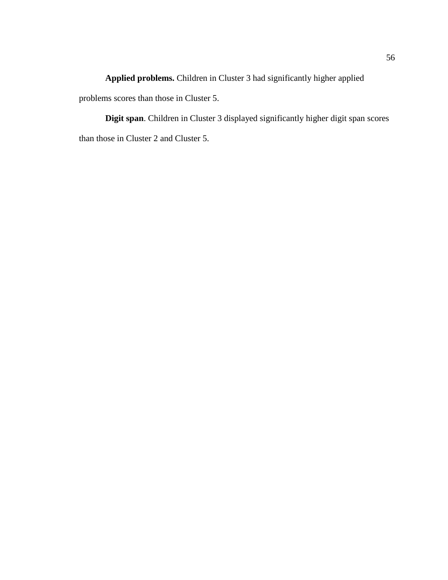**Applied problems.** Children in Cluster 3 had significantly higher applied problems scores than those in Cluster 5.

**Digit span**. Children in Cluster 3 displayed significantly higher digit span scores than those in Cluster 2 and Cluster 5.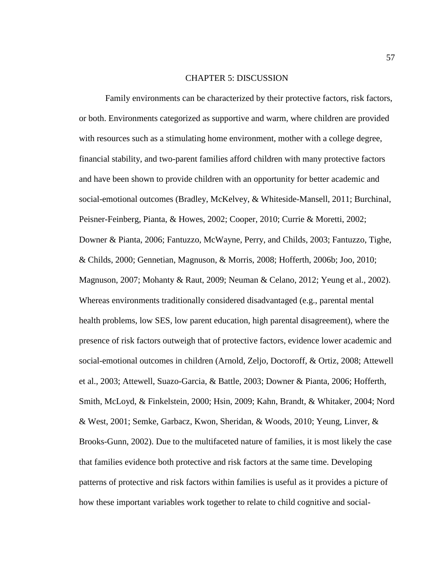### CHAPTER 5: DISCUSSION

Family environments can be characterized by their protective factors, risk factors, or both. Environments categorized as supportive and warm, where children are provided with resources such as a stimulating home environment, mother with a college degree, financial stability, and two-parent families afford children with many protective factors and have been shown to provide children with an opportunity for better academic and social-emotional outcomes (Bradley, McKelvey, & Whiteside-Mansell, 2011; Burchinal, Peisner-Feinberg, Pianta, & Howes, 2002; Cooper, 2010; Currie & Moretti, 2002; Downer & Pianta, 2006; Fantuzzo, McWayne, Perry, and Childs, 2003; Fantuzzo, Tighe, & Childs, 2000; Gennetian, Magnuson, & Morris, 2008; Hofferth, 2006b; Joo, 2010; Magnuson, 2007; Mohanty & Raut, 2009; Neuman & Celano, 2012; Yeung et al., 2002). Whereas environments traditionally considered disadvantaged (e.g., parental mental health problems, low SES, low parent education, high parental disagreement), where the presence of risk factors outweigh that of protective factors, evidence lower academic and social-emotional outcomes in children (Arnold, Zeljo, Doctoroff, & Ortiz, 2008; Attewell et al., 2003; Attewell, Suazo-Garcia, & Battle, 2003; Downer & Pianta, 2006; Hofferth, Smith, McLoyd, & Finkelstein, 2000; Hsin, 2009; Kahn, Brandt, & Whitaker, 2004; Nord & West, 2001; Semke, Garbacz, Kwon, Sheridan, & Woods, 2010; Yeung, Linver, & Brooks-Gunn, 2002). Due to the multifaceted nature of families, it is most likely the case that families evidence both protective and risk factors at the same time. Developing patterns of protective and risk factors within families is useful as it provides a picture of how these important variables work together to relate to child cognitive and social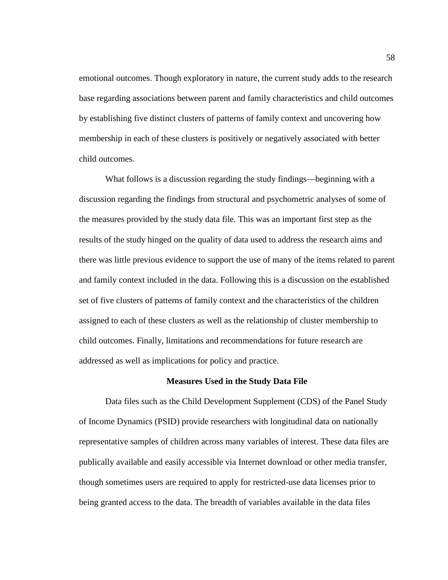emotional outcomes. Though exploratory in nature, the current study adds to the research base regarding associations between parent and family characteristics and child outcomes by establishing five distinct clusters of patterns of family context and uncovering how membership in each of these clusters is positively or negatively associated with better child outcomes.

What follows is a discussion regarding the study findings—beginning with a discussion regarding the findings from structural and psychometric analyses of some of the measures provided by the study data file. This was an important first step as the results of the study hinged on the quality of data used to address the research aims and there was little previous evidence to support the use of many of the items related to parent and family context included in the data. Following this is a discussion on the established set of five clusters of patterns of family context and the characteristics of the children assigned to each of these clusters as well as the relationship of cluster membership to child outcomes. Finally, limitations and recommendations for future research are addressed as well as implications for policy and practice.

### **Measures Used in the Study Data File**

Data files such as the Child Development Supplement (CDS) of the Panel Study of Income Dynamics (PSID) provide researchers with longitudinal data on nationally representative samples of children across many variables of interest. These data files are publically available and easily accessible via Internet download or other media transfer, though sometimes users are required to apply for restricted-use data licenses prior to being granted access to the data. The breadth of variables available in the data files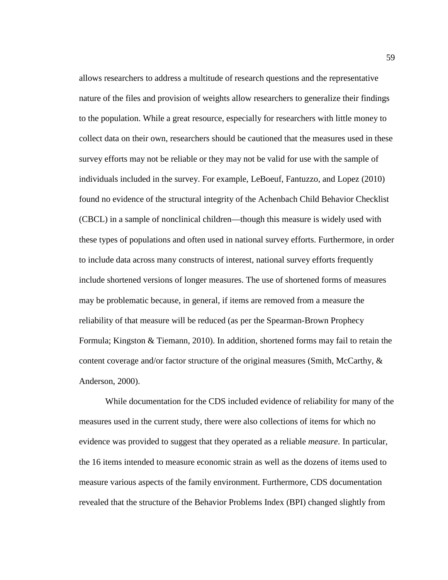allows researchers to address a multitude of research questions and the representative nature of the files and provision of weights allow researchers to generalize their findings to the population. While a great resource, especially for researchers with little money to collect data on their own, researchers should be cautioned that the measures used in these survey efforts may not be reliable or they may not be valid for use with the sample of individuals included in the survey. For example, LeBoeuf, Fantuzzo, and Lopez (2010) found no evidence of the structural integrity of the Achenbach Child Behavior Checklist (CBCL) in a sample of nonclinical children—though this measure is widely used with these types of populations and often used in national survey efforts. Furthermore, in order to include data across many constructs of interest, national survey efforts frequently include shortened versions of longer measures. The use of shortened forms of measures may be problematic because, in general, if items are removed from a measure the reliability of that measure will be reduced (as per the Spearman-Brown Prophecy Formula; Kingston & Tiemann, 2010). In addition, shortened forms may fail to retain the content coverage and/or factor structure of the original measures (Smith, McCarthy,  $\&$ Anderson, 2000).

While documentation for the CDS included evidence of reliability for many of the measures used in the current study, there were also collections of items for which no evidence was provided to suggest that they operated as a reliable *measure*. In particular, the 16 items intended to measure economic strain as well as the dozens of items used to measure various aspects of the family environment. Furthermore, CDS documentation revealed that the structure of the Behavior Problems Index (BPI) changed slightly from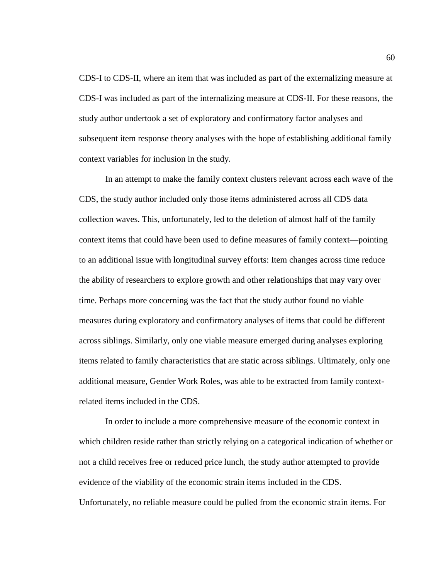CDS-I to CDS-II, where an item that was included as part of the externalizing measure at CDS-I was included as part of the internalizing measure at CDS-II. For these reasons, the study author undertook a set of exploratory and confirmatory factor analyses and subsequent item response theory analyses with the hope of establishing additional family context variables for inclusion in the study.

In an attempt to make the family context clusters relevant across each wave of the CDS, the study author included only those items administered across all CDS data collection waves. This, unfortunately, led to the deletion of almost half of the family context items that could have been used to define measures of family context—pointing to an additional issue with longitudinal survey efforts: Item changes across time reduce the ability of researchers to explore growth and other relationships that may vary over time. Perhaps more concerning was the fact that the study author found no viable measures during exploratory and confirmatory analyses of items that could be different across siblings. Similarly, only one viable measure emerged during analyses exploring items related to family characteristics that are static across siblings. Ultimately, only one additional measure, Gender Work Roles, was able to be extracted from family contextrelated items included in the CDS.

In order to include a more comprehensive measure of the economic context in which children reside rather than strictly relying on a categorical indication of whether or not a child receives free or reduced price lunch, the study author attempted to provide evidence of the viability of the economic strain items included in the CDS. Unfortunately, no reliable measure could be pulled from the economic strain items. For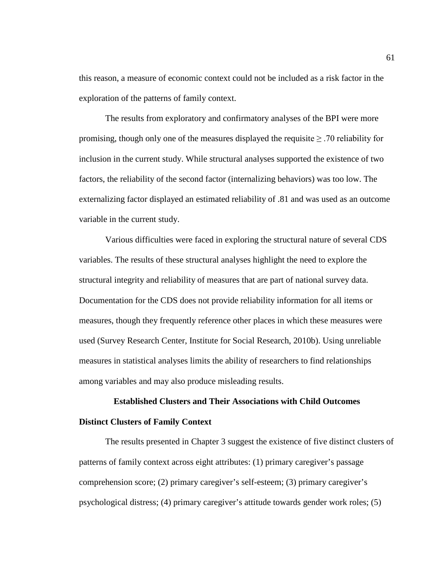this reason, a measure of economic context could not be included as a risk factor in the exploration of the patterns of family context.

The results from exploratory and confirmatory analyses of the BPI were more promising, though only one of the measures displayed the requisite  $\geq$  .70 reliability for inclusion in the current study. While structural analyses supported the existence of two factors, the reliability of the second factor (internalizing behaviors) was too low. The externalizing factor displayed an estimated reliability of .81 and was used as an outcome variable in the current study.

Various difficulties were faced in exploring the structural nature of several CDS variables. The results of these structural analyses highlight the need to explore the structural integrity and reliability of measures that are part of national survey data. Documentation for the CDS does not provide reliability information for all items or measures, though they frequently reference other places in which these measures were used (Survey Research Center, Institute for Social Research, 2010b). Using unreliable measures in statistical analyses limits the ability of researchers to find relationships among variables and may also produce misleading results.

# **Established Clusters and Their Associations with Child Outcomes Distinct Clusters of Family Context**

The results presented in Chapter 3 suggest the existence of five distinct clusters of patterns of family context across eight attributes: (1) primary caregiver's passage comprehension score; (2) primary caregiver's self-esteem; (3) primary caregiver's psychological distress; (4) primary caregiver's attitude towards gender work roles; (5)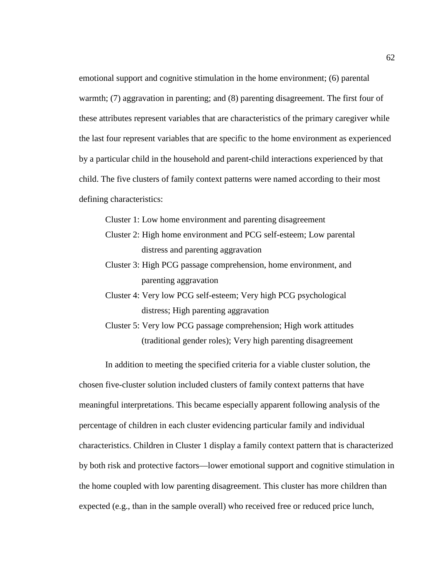emotional support and cognitive stimulation in the home environment; (6) parental warmth; (7) aggravation in parenting; and (8) parenting disagreement. The first four of these attributes represent variables that are characteristics of the primary caregiver while the last four represent variables that are specific to the home environment as experienced by a particular child in the household and parent-child interactions experienced by that child. The five clusters of family context patterns were named according to their most defining characteristics:

Cluster 1: Low home environment and parenting disagreement

- Cluster 2: High home environment and PCG self-esteem; Low parental distress and parenting aggravation
- Cluster 3: High PCG passage comprehension, home environment, and parenting aggravation
- Cluster 4: Very low PCG self-esteem; Very high PCG psychological distress; High parenting aggravation
- Cluster 5: Very low PCG passage comprehension; High work attitudes (traditional gender roles); Very high parenting disagreement

In addition to meeting the specified criteria for a viable cluster solution, the

chosen five-cluster solution included clusters of family context patterns that have meaningful interpretations. This became especially apparent following analysis of the percentage of children in each cluster evidencing particular family and individual characteristics. Children in Cluster 1 display a family context pattern that is characterized by both risk and protective factors—lower emotional support and cognitive stimulation in the home coupled with low parenting disagreement. This cluster has more children than expected (e.g., than in the sample overall) who received free or reduced price lunch,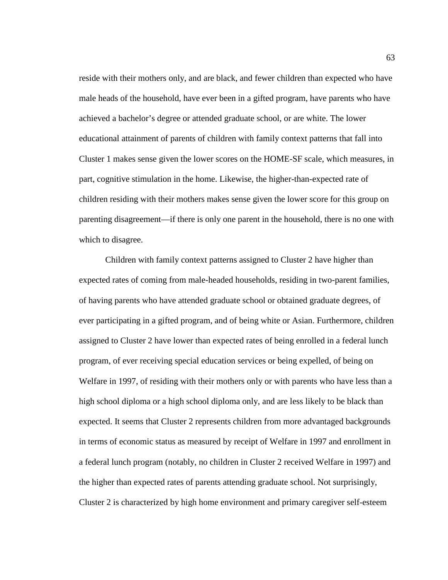reside with their mothers only, and are black, and fewer children than expected who have male heads of the household, have ever been in a gifted program, have parents who have achieved a bachelor's degree or attended graduate school, or are white. The lower educational attainment of parents of children with family context patterns that fall into Cluster 1 makes sense given the lower scores on the HOME-SF scale, which measures, in part, cognitive stimulation in the home. Likewise, the higher-than-expected rate of children residing with their mothers makes sense given the lower score for this group on parenting disagreement—if there is only one parent in the household, there is no one with which to disagree.

Children with family context patterns assigned to Cluster 2 have higher than expected rates of coming from male-headed households, residing in two-parent families, of having parents who have attended graduate school or obtained graduate degrees, of ever participating in a gifted program, and of being white or Asian. Furthermore, children assigned to Cluster 2 have lower than expected rates of being enrolled in a federal lunch program, of ever receiving special education services or being expelled, of being on Welfare in 1997, of residing with their mothers only or with parents who have less than a high school diploma or a high school diploma only, and are less likely to be black than expected. It seems that Cluster 2 represents children from more advantaged backgrounds in terms of economic status as measured by receipt of Welfare in 1997 and enrollment in a federal lunch program (notably, no children in Cluster 2 received Welfare in 1997) and the higher than expected rates of parents attending graduate school. Not surprisingly, Cluster 2 is characterized by high home environment and primary caregiver self-esteem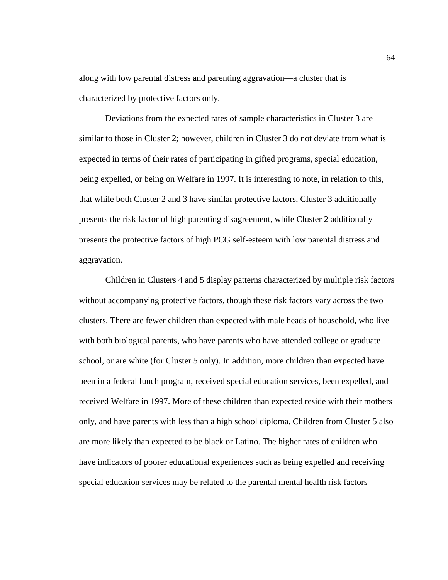along with low parental distress and parenting aggravation—a cluster that is characterized by protective factors only.

Deviations from the expected rates of sample characteristics in Cluster 3 are similar to those in Cluster 2; however, children in Cluster 3 do not deviate from what is expected in terms of their rates of participating in gifted programs, special education, being expelled, or being on Welfare in 1997. It is interesting to note, in relation to this, that while both Cluster 2 and 3 have similar protective factors, Cluster 3 additionally presents the risk factor of high parenting disagreement, while Cluster 2 additionally presents the protective factors of high PCG self-esteem with low parental distress and aggravation.

Children in Clusters 4 and 5 display patterns characterized by multiple risk factors without accompanying protective factors, though these risk factors vary across the two clusters. There are fewer children than expected with male heads of household, who live with both biological parents, who have parents who have attended college or graduate school, or are white (for Cluster 5 only). In addition, more children than expected have been in a federal lunch program, received special education services, been expelled, and received Welfare in 1997. More of these children than expected reside with their mothers only, and have parents with less than a high school diploma. Children from Cluster 5 also are more likely than expected to be black or Latino. The higher rates of children who have indicators of poorer educational experiences such as being expelled and receiving special education services may be related to the parental mental health risk factors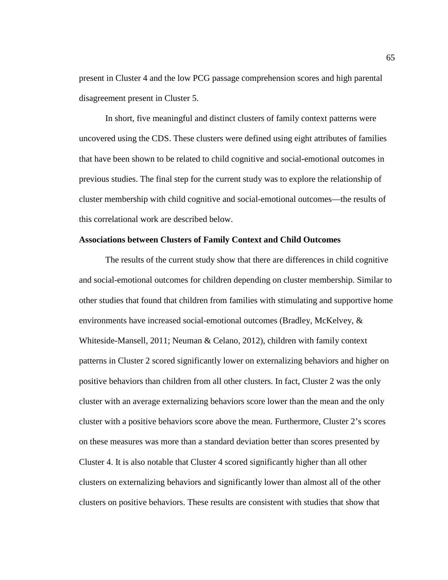present in Cluster 4 and the low PCG passage comprehension scores and high parental disagreement present in Cluster 5.

In short, five meaningful and distinct clusters of family context patterns were uncovered using the CDS. These clusters were defined using eight attributes of families that have been shown to be related to child cognitive and social-emotional outcomes in previous studies. The final step for the current study was to explore the relationship of cluster membership with child cognitive and social-emotional outcomes—the results of this correlational work are described below.

### **Associations between Clusters of Family Context and Child Outcomes**

The results of the current study show that there are differences in child cognitive and social-emotional outcomes for children depending on cluster membership. Similar to other studies that found that children from families with stimulating and supportive home environments have increased social-emotional outcomes (Bradley, McKelvey, & Whiteside-Mansell, 2011; Neuman & Celano, 2012), children with family context patterns in Cluster 2 scored significantly lower on externalizing behaviors and higher on positive behaviors than children from all other clusters. In fact, Cluster 2 was the only cluster with an average externalizing behaviors score lower than the mean and the only cluster with a positive behaviors score above the mean. Furthermore, Cluster 2's scores on these measures was more than a standard deviation better than scores presented by Cluster 4. It is also notable that Cluster 4 scored significantly higher than all other clusters on externalizing behaviors and significantly lower than almost all of the other clusters on positive behaviors. These results are consistent with studies that show that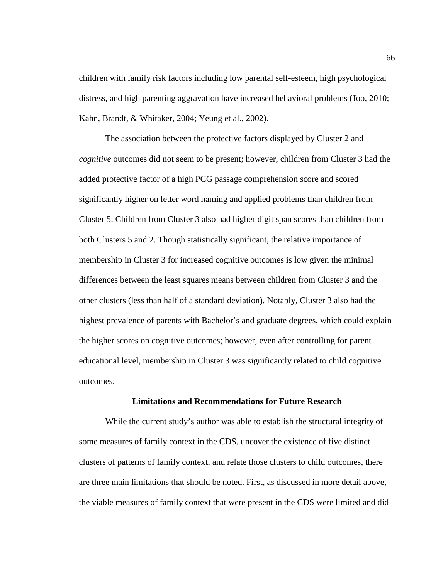children with family risk factors including low parental self-esteem, high psychological distress, and high parenting aggravation have increased behavioral problems (Joo, 2010; Kahn, Brandt, & Whitaker, 2004; Yeung et al., 2002).

The association between the protective factors displayed by Cluster 2 and *cognitive* outcomes did not seem to be present; however, children from Cluster 3 had the added protective factor of a high PCG passage comprehension score and scored significantly higher on letter word naming and applied problems than children from Cluster 5. Children from Cluster 3 also had higher digit span scores than children from both Clusters 5 and 2. Though statistically significant, the relative importance of membership in Cluster 3 for increased cognitive outcomes is low given the minimal differences between the least squares means between children from Cluster 3 and the other clusters (less than half of a standard deviation). Notably, Cluster 3 also had the highest prevalence of parents with Bachelor's and graduate degrees, which could explain the higher scores on cognitive outcomes; however, even after controlling for parent educational level, membership in Cluster 3 was significantly related to child cognitive outcomes.

#### **Limitations and Recommendations for Future Research**

While the current study's author was able to establish the structural integrity of some measures of family context in the CDS, uncover the existence of five distinct clusters of patterns of family context, and relate those clusters to child outcomes, there are three main limitations that should be noted. First, as discussed in more detail above, the viable measures of family context that were present in the CDS were limited and did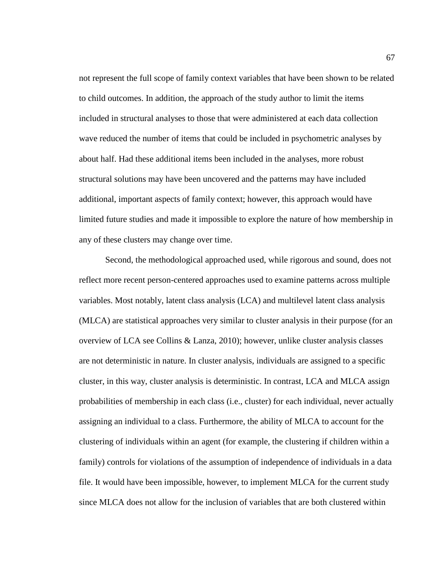not represent the full scope of family context variables that have been shown to be related to child outcomes. In addition, the approach of the study author to limit the items included in structural analyses to those that were administered at each data collection wave reduced the number of items that could be included in psychometric analyses by about half. Had these additional items been included in the analyses, more robust structural solutions may have been uncovered and the patterns may have included additional, important aspects of family context; however, this approach would have limited future studies and made it impossible to explore the nature of how membership in any of these clusters may change over time.

Second, the methodological approached used, while rigorous and sound, does not reflect more recent person-centered approaches used to examine patterns across multiple variables. Most notably, latent class analysis (LCA) and multilevel latent class analysis (MLCA) are statistical approaches very similar to cluster analysis in their purpose (for an overview of LCA see Collins & Lanza, 2010); however, unlike cluster analysis classes are not deterministic in nature. In cluster analysis, individuals are assigned to a specific cluster, in this way, cluster analysis is deterministic. In contrast, LCA and MLCA assign probabilities of membership in each class (i.e., cluster) for each individual, never actually assigning an individual to a class. Furthermore, the ability of MLCA to account for the clustering of individuals within an agent (for example, the clustering if children within a family) controls for violations of the assumption of independence of individuals in a data file. It would have been impossible, however, to implement MLCA for the current study since MLCA does not allow for the inclusion of variables that are both clustered within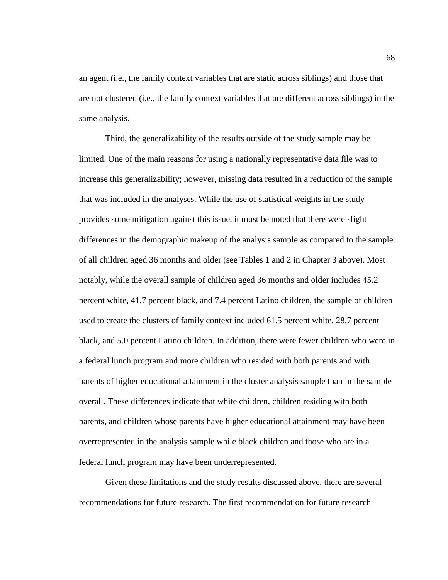an agent (i.e., the family context variables that are static across siblings) and those that are not clustered (i.e., the family context variables that are different across siblings) in the same analysis.

Third, the generalizability of the results outside of the study sample may be limited. One of the main reasons for using a nationally representative data file was to increase this generalizability; however, missing data resulted in a reduction of the sample that was included in the analyses. While the use of statistical weights in the study provides some mitigation against this issue, it must be noted that there were slight differences in the demographic makeup of the analysis sample as compared to the sample of all children aged 36 months and older (see Tables 1 and 2 in Chapter 3 above). Most notably, while the overall sample of children aged 36 months and older includes 45.2 percent white, 41.7 percent black, and 7.4 percent Latino children, the sample of children used to create the clusters of family context included 61.5 percent white, 28.7 percent black, and 5.0 percent Latino children. In addition, there were fewer children who were in a federal lunch program and more children who resided with both parents and with parents of higher educational attainment in the cluster analysis sample than in the sample overall. These differences indicate that white children, children residing with both parents, and children whose parents have higher educational attainment may have been overrepresented in the analysis sample while black children and those who are in a federal lunch program may have been underrepresented.

Given these limitations and the study results discussed above, there are several recommendations for future research. The first recommendation for future research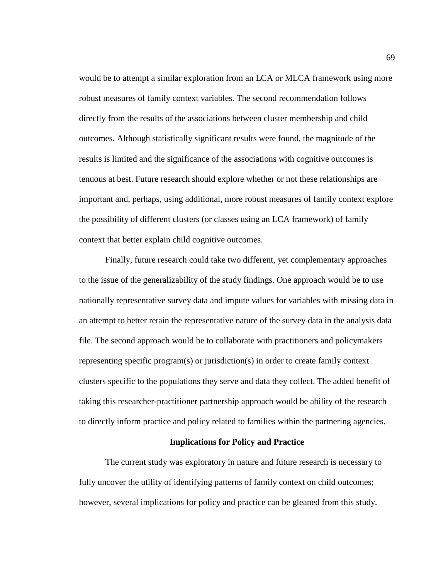would be to attempt a similar exploration from an LCA or MLCA framework using more robust measures of family context variables. The second recommendation follows directly from the results of the associations between cluster membership and child outcomes. Although statistically significant results were found, the magnitude of the results is limited and the significance of the associations with cognitive outcomes is tenuous at best. Future research should explore whether or not these relationships are important and, perhaps, using additional, more robust measures of family context explore the possibility of different clusters (or classes using an LCA framework) of family context that better explain child cognitive outcomes.

Finally, future research could take two different, yet complementary approaches to the issue of the generalizability of the study findings. One approach would be to use nationally representative survey data and impute values for variables with missing data in an attempt to better retain the representative nature of the survey data in the analysis data file. The second approach would be to collaborate with practitioners and policymakers representing specific program(s) or jurisdiction(s) in order to create family context clusters specific to the populations they serve and data they collect. The added benefit of taking this researcher-practitioner partnership approach would be ability of the research to directly inform practice and policy related to families within the partnering agencies.

#### **Implications for Policy and Practice**

The current study was exploratory in nature and future research is necessary to fully uncover the utility of identifying patterns of family context on child outcomes; however, several implications for policy and practice can be gleaned from this study.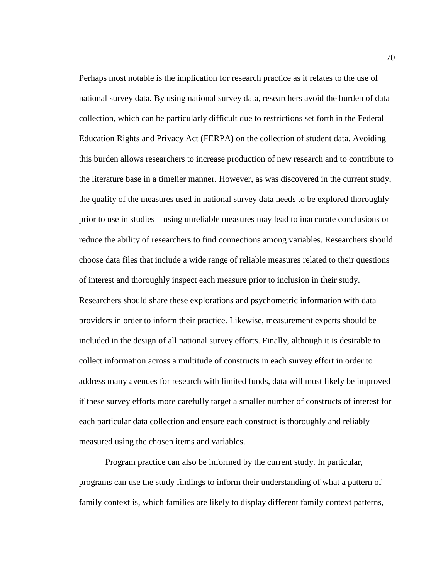Perhaps most notable is the implication for research practice as it relates to the use of national survey data. By using national survey data, researchers avoid the burden of data collection, which can be particularly difficult due to restrictions set forth in the Federal Education Rights and Privacy Act (FERPA) on the collection of student data. Avoiding this burden allows researchers to increase production of new research and to contribute to the literature base in a timelier manner. However, as was discovered in the current study, the quality of the measures used in national survey data needs to be explored thoroughly prior to use in studies—using unreliable measures may lead to inaccurate conclusions or reduce the ability of researchers to find connections among variables. Researchers should choose data files that include a wide range of reliable measures related to their questions of interest and thoroughly inspect each measure prior to inclusion in their study. Researchers should share these explorations and psychometric information with data providers in order to inform their practice. Likewise, measurement experts should be included in the design of all national survey efforts. Finally, although it is desirable to collect information across a multitude of constructs in each survey effort in order to address many avenues for research with limited funds, data will most likely be improved if these survey efforts more carefully target a smaller number of constructs of interest for each particular data collection and ensure each construct is thoroughly and reliably measured using the chosen items and variables.

Program practice can also be informed by the current study. In particular, programs can use the study findings to inform their understanding of what a pattern of family context is, which families are likely to display different family context patterns,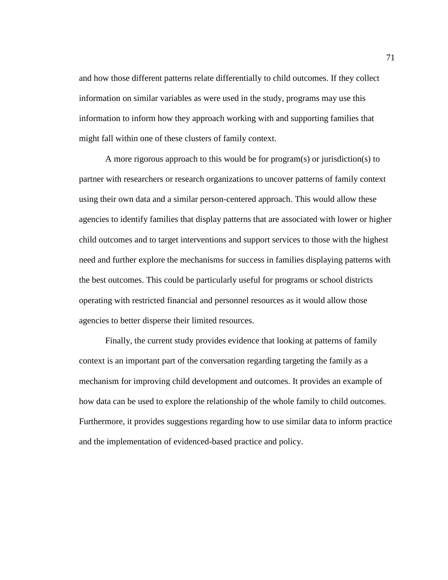and how those different patterns relate differentially to child outcomes. If they collect information on similar variables as were used in the study, programs may use this information to inform how they approach working with and supporting families that might fall within one of these clusters of family context.

A more rigorous approach to this would be for program(s) or jurisdiction(s) to partner with researchers or research organizations to uncover patterns of family context using their own data and a similar person-centered approach. This would allow these agencies to identify families that display patterns that are associated with lower or higher child outcomes and to target interventions and support services to those with the highest need and further explore the mechanisms for success in families displaying patterns with the best outcomes. This could be particularly useful for programs or school districts operating with restricted financial and personnel resources as it would allow those agencies to better disperse their limited resources.

Finally, the current study provides evidence that looking at patterns of family context is an important part of the conversation regarding targeting the family as a mechanism for improving child development and outcomes. It provides an example of how data can be used to explore the relationship of the whole family to child outcomes. Furthermore, it provides suggestions regarding how to use similar data to inform practice and the implementation of evidenced-based practice and policy.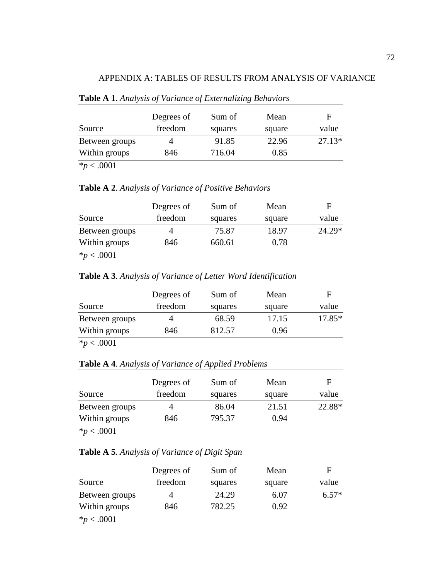## APPENDIX A: TABLES OF RESULTS FROM ANALYSIS OF VARIANCE

|                    | Degrees of | Sum of  | Mean   | F        |
|--------------------|------------|---------|--------|----------|
| Source             | freedom    | squares | square | value    |
| Between groups     |            | 91.85   | 22.96  | $27.13*$ |
| Within groups      | 846        | 716.04  | 0.85   |          |
| 0.004<br>$\cdot$ . |            |         |        |          |

## **Table A 1**. *Analysis of Variance of Externalizing Behaviors*

\**p* < .0001

## **Table A 2**. *Analysis of Variance of Positive Behaviors*

| Source                | Degrees of<br>freedom | Sum of<br>squares | Mean<br>square | F<br>value |
|-----------------------|-----------------------|-------------------|----------------|------------|
| Between groups        | 4                     | 75.87             | 18.97          | $24.29*$   |
| Within groups         | 846                   | 660.61            | 0.78           |            |
| $\sim$ $\sim$<br>---- |                       |                   |                |            |

\**p* < .0001

**Table A 3**. *Analysis of Variance of Letter Word Identification*

|                     | Degrees of | Sum of  | Mean   | Е        |
|---------------------|------------|---------|--------|----------|
| Source              | freedom    | squares | square | value    |
| Between groups      |            | 68.59   | 17.15  | $17.85*$ |
| Within groups       | 846        | 812.57  | 0.96   |          |
| $\star$ $\sim$ 0001 |            |         |        |          |

 $*p < .0001$ 

**Table A 4**. *Analysis of Variance of Applied Problems*

| Source          | Degrees of<br>freedom | Sum of<br>squares | Mean<br>square | F<br>value |
|-----------------|-----------------------|-------------------|----------------|------------|
| Between groups  |                       | 86.04             | 21.51          | 22.88*     |
| Within groups   | 846                   | 795.37            | 0.94           |            |
| $*_{p}$ < .0001 |                       |                   |                |            |

| Table A 5. Analysis of Variance of Digit Span |  |
|-----------------------------------------------|--|
|-----------------------------------------------|--|

|                 | Degrees of | Sum of  | Mean   | F       |
|-----------------|------------|---------|--------|---------|
| Source          | freedom    | squares | square | value   |
| Between groups  |            | 24.29   | 6.07   | $6.57*$ |
| Within groups   | 846        | 782.25  | 0.92   |         |
| $*_{p}$ < .0001 |            |         |        |         |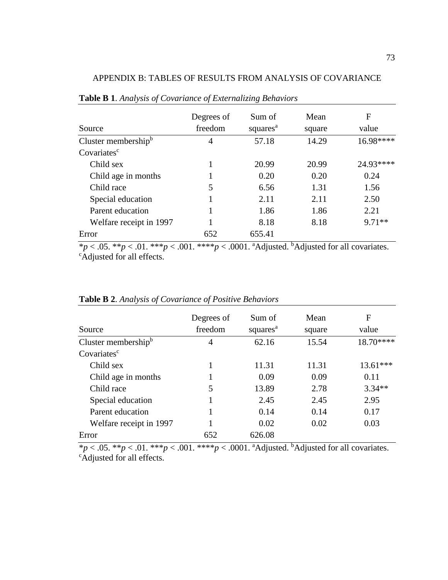| Source                  | Degrees of<br>freedom | Sum of<br>squares <sup>a</sup> | Mean<br>square | F<br>value |
|-------------------------|-----------------------|--------------------------------|----------------|------------|
| Cluster membership $b$  | 4                     | 57.18                          | 14.29          | 16.98****  |
| Covariates <sup>c</sup> |                       |                                |                |            |
| Child sex               |                       | 20.99                          | 20.99          | 24.93****  |
| Child age in months     |                       | 0.20                           | 0.20           | 0.24       |
| Child race              | 5                     | 6.56                           | 1.31           | 1.56       |
| Special education       |                       | 2.11                           | 2.11           | 2.50       |
| Parent education        |                       | 1.86                           | 1.86           | 2.21       |
| Welfare receipt in 1997 |                       | 8.18                           | 8.18           | $9.71**$   |
| Error                   | 652                   | 655.41                         |                |            |

# APPENDIX B: TABLES OF RESULTS FROM ANALYSIS OF COVARIANCE

**Table B 1**. *Analysis of Covariance of Externalizing Behaviors*

\* $p < .05$ . \*\* $p < .01$ . \*\*\* $p < .001$ . \*\*\* $p < .0001$ . <sup>a</sup>Adjusted. <sup>b</sup>Adjusted for all covariates. <sup>c</sup>Adjusted for all effects.

| Source                  | Degrees of<br>freedom | Sum of<br>squares <sup>a</sup> | Mean<br>square | F<br>value |
|-------------------------|-----------------------|--------------------------------|----------------|------------|
| Cluster membership $b$  | 4                     | 62.16                          | 15.54          | 18.70****  |
| Covariates <sup>c</sup> |                       |                                |                |            |
| Child sex               |                       | 11.31                          | 11.31          | $13.61***$ |
| Child age in months     |                       | 0.09                           | 0.09           | 0.11       |
| Child race              | 5                     | 13.89                          | 2.78           | $3.34**$   |
| Special education       |                       | 2.45                           | 2.45           | 2.95       |
| Parent education        |                       | 0.14                           | 0.14           | 0.17       |
| Welfare receipt in 1997 |                       | 0.02                           | 0.02           | 0.03       |
| Error                   | 652                   | 626.08                         |                |            |

**Table B 2**. *Analysis of Covariance of Positive Behaviors*

\* $p < .05$ . \*\* $p < .01$ . \*\*\* $p < .001$ . \*\*\*\* $p < .0001$ . <sup>a</sup>Adjusted. <sup>b</sup>Adjusted for all covariates. <sup>c</sup>Adjusted for all effects.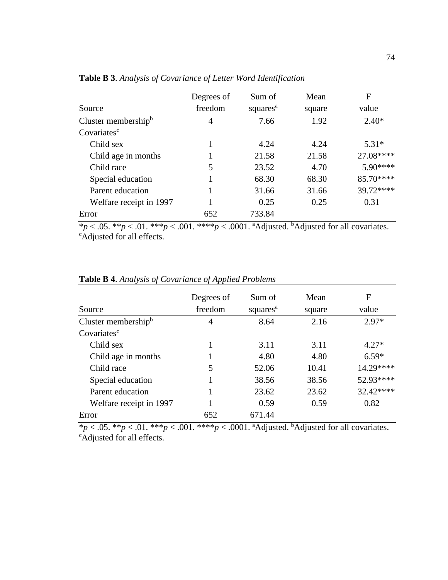| Source                  | Degrees of<br>freedom | Sum of<br>squares <sup>a</sup> | Mean<br>square | F<br>value |
|-------------------------|-----------------------|--------------------------------|----------------|------------|
|                         |                       |                                |                |            |
| Cluster membership $b$  | $\overline{4}$        | 7.66                           | 1.92           | $2.40*$    |
| Covariates <sup>c</sup> |                       |                                |                |            |
| Child sex               |                       | 4.24                           | 4.24           | $5.31*$    |
| Child age in months     |                       | 21.58                          | 21.58          | 27.08****  |
| Child race              | 5                     | 23.52                          | 4.70           | $5.90***$  |
| Special education       |                       | 68.30                          | 68.30          | 85.70****  |
| Parent education        |                       | 31.66                          | 31.66          | 39.72****  |
| Welfare receipt in 1997 |                       | 0.25                           | 0.25           | 0.31       |
| Error                   | 652                   | 733.84<br>$\mathbf{1}$         |                |            |

**Table B 3**. *Analysis of Covariance of Letter Word Identification*

\* $p < .05$ . \*\* $p < .01$ . \*\*\* $p < .001$ . \*\*\* $p < .0001$ . <sup>a</sup>Adjusted. <sup>b</sup>Adjusted for all covariates. <sup>c</sup>Adjusted for all effects.

|                            | Degrees of | Sum of               | Mean   | F         |
|----------------------------|------------|----------------------|--------|-----------|
| Source                     | freedom    | squares <sup>a</sup> | square | value     |
| Cluster membership $\rm^b$ | 4          | 8.64                 | 2.16   | $2.97*$   |
| Covariates <sup>c</sup>    |            |                      |        |           |
| Child sex                  |            | 3.11                 | 3.11   | $4.27*$   |
| Child age in months        |            | 4.80                 | 4.80   | $6.59*$   |
| Child race                 | 5          | 52.06                | 10.41  | 14.29**** |
| Special education          |            | 38.56                | 38.56  | 52.93**** |
| Parent education           |            | 23.62                | 23.62  | 32.42**** |
| Welfare receipt in 1997    |            | 0.59                 | 0.59   | 0.82      |
| Error                      | 652        | 671.44               |        |           |

**Table B 4**. *Analysis of Covariance of Applied Problems*

\* $p < .05$ . \*\* $p < .01$ . \*\*\* $p < .001$ . \*\*\* $p < .0001$ . <sup>a</sup>Adjusted. <sup>b</sup>Adjusted for all covariates. <sup>c</sup>Adjusted for all effects.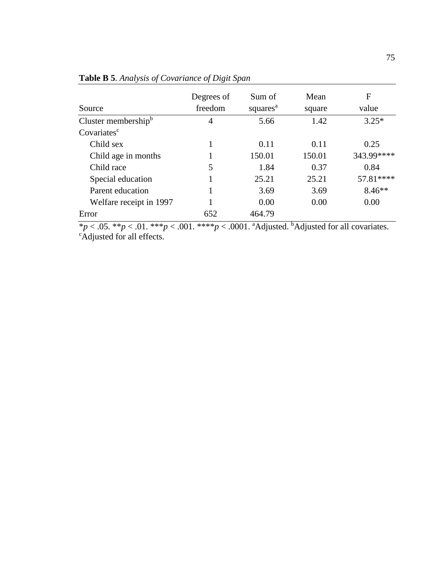| Source                              | Degrees of<br>freedom | Sum of<br>squares <sup>a</sup> | Mean<br>square                            | F<br>value   |
|-------------------------------------|-----------------------|--------------------------------|-------------------------------------------|--------------|
| Cluster membership $b$              | 4                     | 5.66                           | 1.42                                      | $3.25*$      |
| Covariates <sup>c</sup>             |                       |                                |                                           |              |
| Child sex                           |                       | 0.11                           | 0.11                                      | 0.25         |
| Child age in months                 |                       | 150.01                         | 150.01                                    | 343.99****   |
| Child race                          | 5                     | 1.84                           | 0.37                                      | 0.84         |
| Special education                   |                       | 25.21                          | 25.21                                     | 57.81****    |
| Parent education                    |                       | 3.69                           | 3.69                                      | $8.46**$     |
| Welfare receipt in 1997             |                       | 0.00                           | 0.00                                      | 0.00         |
| Error<br>.<br>$\sim$ $ \sim$ $\sim$ | 652                   | 464.79<br>0.00101111           | $\cdot$ $\cdot$ $\cdot$ $\cdot$<br>$\sim$ | <b>Brand</b> |

**Table B 5**. *Analysis of Covariance of Digit Span*

 $*p < .05.$  \*\**p* < .01. \*\*\**p* < .001. \*\*\**\*p* < .0001. <sup>a</sup>Adjusted. <sup>b</sup>Adjusted for all covariates. <sup>c</sup>Adjusted for all effects.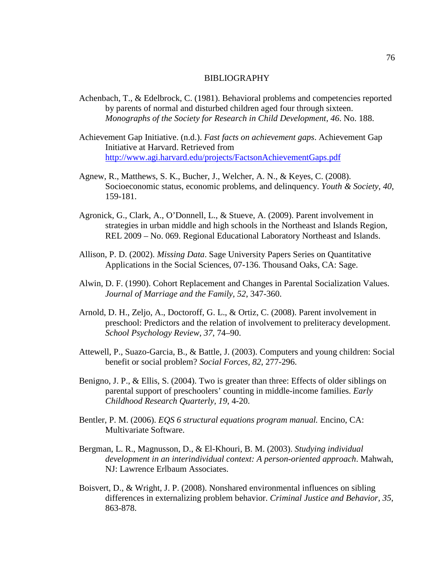#### BIBLIOGRAPHY

- Achenbach, T., & Edelbrock, C. (1981). Behavioral problems and competencies reported by parents of normal and disturbed children aged four through sixteen. *Monographs of the Society for Research in Child Development, 46*. No. 188.
- Achievement Gap Initiative. (n.d.). *Fast facts on achievement gaps*. Achievement Gap Initiative at Harvard. Retrieved from <http://www.agi.harvard.edu/projects/FactsonAchievementGaps.pdf>
- Agnew, R., Matthews, S. K., Bucher, J., Welcher, A. N., & Keyes, C. (2008). Socioeconomic status, economic problems, and delinquency. *Youth & Society, 40*, 159-181.
- Agronick, G., Clark, A., O'Donnell, L., & Stueve, A. (2009). Parent involvement in strategies in urban middle and high schools in the Northeast and Islands Region, REL 2009 – No. 069. Regional Educational Laboratory Northeast and Islands.
- Allison, P. D. (2002). *Missing Data*. Sage University Papers Series on Quantitative Applications in the Social Sciences, 07-136. Thousand Oaks, CA: Sage.
- Alwin, D. F. (1990). Cohort Replacement and Changes in Parental Socialization Values. *Journal of Marriage and the Family, 52*, 347-360.
- Arnold, D. H., Zeljo, A., Doctoroff, G. L., & Ortiz, C. (2008). Parent involvement in preschool: Predictors and the relation of involvement to preliteracy development. *School Psychology Review, 37*, 74–90.
- Attewell, P., Suazo-Garcia, B., & Battle, J. (2003). Computers and young children: Social benefit or social problem? *Social Forces, 82*, 277-296.
- Benigno, J. P., & Ellis, S. (2004). Two is greater than three: Effects of older siblings on parental support of preschoolers' counting in middle-income families. *Early Childhood Research Quarterly, 19*, 4-20.
- Bentler, P. M. (2006). *EQS 6 structural equations program manual.* Encino, CA: Multivariate Software.
- Bergman, L. R., Magnusson, D., & El-Khouri, B. M. (2003). *Studying individual development in an interindividual context: A person-oriented approach*. Mahwah, NJ: Lawrence Erlbaum Associates.
- Boisvert, D., & Wright, J. P. (2008). Nonshared environmental influences on sibling differences in externalizing problem behavior. *Criminal Justice and Behavior, 35*, 863-878.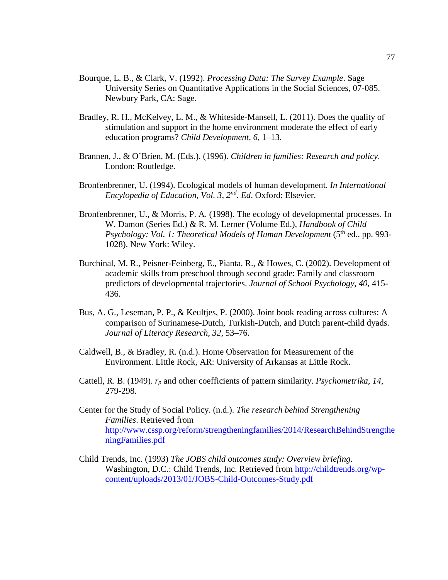- Bourque, L. B., & Clark, V. (1992). *Processing Data: The Survey Example*. Sage University Series on Quantitative Applications in the Social Sciences, 07-085. Newbury Park, CA: Sage.
- Bradley, R. H., McKelvey, L. M., & Whiteside-Mansell, L. (2011). Does the quality of stimulation and support in the home environment moderate the effect of early education programs? *Child Development, 6*, 1–13.
- Brannen, J., & O'Brien, M. (Eds.). (1996). *Children in families: Research and policy*. London: Routledge.
- Bronfenbrenner, U. (1994). Ecological models of human development. *In International Encylopedia of Education, Vol. 3, 2nd. Ed*. Oxford: Elsevier.
- Bronfenbrenner, U., & Morris, P. A. (1998). The ecology of developmental processes. In W. Damon (Series Ed.) & R. M. Lerner (Volume Ed.), *Handbook of Child Psychology: Vol. 1: Theoretical Models of Human Development* (5<sup>th</sup> ed., pp. 993-1028). New York: Wiley.
- Burchinal, M. R., Peisner-Feinberg, E., Pianta, R., & Howes, C. (2002). Development of academic skills from preschool through second grade: Family and classroom predictors of developmental trajectories. *Journal of School Psychology, 40*, 415- 436.
- Bus, A. G., Leseman, P. P., & Keultjes, P. (2000). Joint book reading across cultures: A comparison of Surinamese-Dutch, Turkish-Dutch, and Dutch parent-child dyads. *Journal of Literacy Research, 32*, 53–76.
- Caldwell, B., & Bradley, R. (n.d.). Home Observation for Measurement of the Environment. Little Rock, AR: University of Arkansas at Little Rock.
- Cattell, R. B. (1949). *rp* and other coefficients of pattern similarity. *Psychometrika, 14*, 279-298.
- Center for the Study of Social Policy. (n.d.). *The research behind Strengthening Families*. Retrieved from [http://www.cssp.org/reform/strengtheningfamilies/2014/ResearchBehindStrengthe](http://www.cssp.org/reform/strengtheningfamilies/2014/ResearchBehindStrengtheningFamilies.pdf) [ningFamilies.pdf](http://www.cssp.org/reform/strengtheningfamilies/2014/ResearchBehindStrengtheningFamilies.pdf)
- Child Trends, Inc. (1993) *The JOBS child outcomes study: Overview briefing*. Washington, D.C.: Child Trends, Inc. Retrieved from [http://childtrends.org/wp](http://childtrends.org/wp-content/uploads/2013/01/JOBS-Child-Outcomes-Study.pdf)[content/uploads/2013/01/JOBS-Child-Outcomes-Study.pdf](http://childtrends.org/wp-content/uploads/2013/01/JOBS-Child-Outcomes-Study.pdf)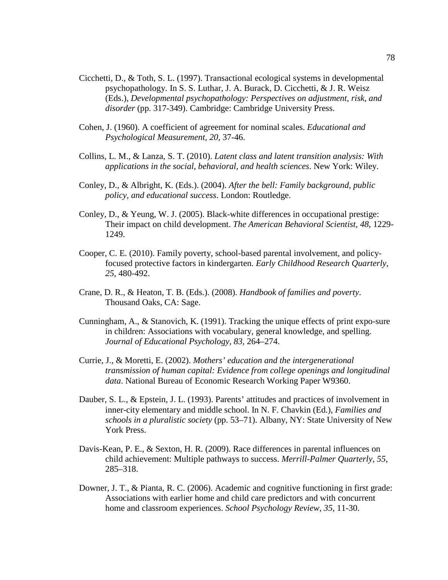- Cicchetti, D., & Toth, S. L. (1997). Transactional ecological systems in developmental psychopathology. In S. S. Luthar, J. A. Burack, D. Cicchetti, & J. R. Weisz (Eds.), *Developmental psychopathology: Perspectives on adjustment, risk, and disorder* (pp. 317-349). Cambridge: Cambridge University Press.
- Cohen, J. (1960). A coefficient of agreement for nominal scales. *Educational and Psychological Measurement, 20*, 37-46.
- Collins, L. M., & Lanza, S. T. (2010). *Latent class and latent transition analysis: With applications in the social, behavioral, and health sciences*. New York: Wiley.
- Conley, D., & Albright, K. (Eds.). (2004). *After the bell: Family background, public policy, and educational success*. London: Routledge.
- Conley, D., & Yeung, W. J. (2005). Black-white differences in occupational prestige: Their impact on child development. *The American Behavioral Scientist, 48*, 1229- 1249.
- Cooper, C. E. (2010). Family poverty, school-based parental involvement, and policyfocused protective factors in kindergarten. *Early Childhood Research Quarterly, 25*, 480-492.
- Crane, D. R., & Heaton, T. B. (Eds.). (2008). *Handbook of families and poverty*. Thousand Oaks, CA: Sage.
- Cunningham, A., & Stanovich, K. (1991). Tracking the unique effects of print expo-sure in children: Associations with vocabulary, general knowledge, and spelling. *Journal of Educational Psychology, 83*, 264–274.
- Currie, J., & Moretti, E. (2002). *Mothers' education and the intergenerational transmission of human capital: Evidence from college openings and longitudinal data*. National Bureau of Economic Research Working Paper W9360.
- Dauber, S. L., & Epstein, J. L. (1993). Parents' attitudes and practices of involvement in inner-city elementary and middle school. In N. F. Chavkin (Ed.), *Families and schools in a pluralistic society* (pp. 53–71). Albany, NY: State University of New York Press.
- Davis-Kean, P. E., & Sexton, H. R. (2009). Race differences in parental influences on child achievement: Multiple pathways to success. *Merrill-Palmer Quarterly, 55*, 285–318.
- Downer, J. T., & Pianta, R. C. (2006). Academic and cognitive functioning in first grade: Associations with earlier home and child care predictors and with concurrent home and classroom experiences. *School Psychology Review, 35*, 11-30.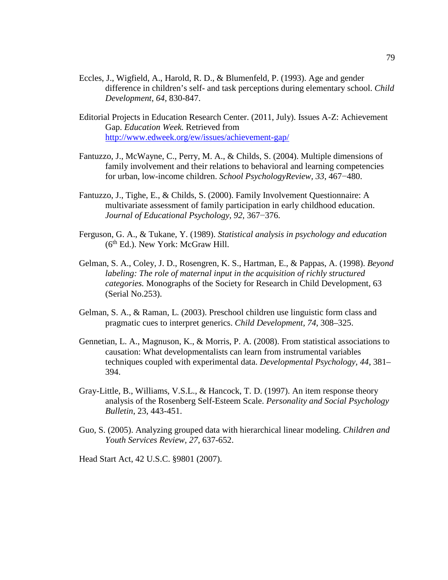- Eccles, J., Wigfield, A., Harold, R. D., & Blumenfeld, P. (1993). Age and gender difference in children's self- and task perceptions during elementary school. *Child Development, 64*, 830-847.
- Editorial Projects in Education Research Center. (2011, July). Issues A-Z: Achievement Gap. *Education Week.* Retrieved from <http://www.edweek.org/ew/issues/achievement-gap/>
- Fantuzzo, J., McWayne, C., Perry, M. A., & Childs, S. (2004). Multiple dimensions of family involvement and their relations to behavioral and learning competencies for urban, low-income children. *School PsychologyReview, 33*, 467−480.
- Fantuzzo, J., Tighe, E., & Childs, S. (2000). Family Involvement Questionnaire: A multivariate assessment of family participation in early childhood education. *Journal of Educational Psychology, 92*, 367−376.
- Ferguson, G. A., & Tukane, Y. (1989). *Statistical analysis in psychology and education*  $(6<sup>th</sup> Ed.)$ . New York: McGraw Hill.
- Gelman, S. A., Coley, J. D., Rosengren, K. S., Hartman, E., & Pappas, A. (1998). *Beyond labeling: The role of maternal input in the acquisition of richly structured categories.* Monographs of the Society for Research in Child Development, 63 (Serial No.253).
- Gelman, S. A., & Raman, L. (2003). Preschool children use linguistic form class and pragmatic cues to interpret generics. *Child Development, 74*, 308–325.
- Gennetian, L. A., Magnuson, K., & Morris, P. A. (2008). From statistical associations to causation: What developmentalists can learn from instrumental variables techniques coupled with experimental data. *Developmental Psychology, 44*, 381– 394.
- Gray-Little, B., Williams, V.S.L., & Hancock, T. D. (1997). An item response theory analysis of the Rosenberg Self-Esteem Scale. *Personality and Social Psychology Bulletin*, 23, 443-451.
- Guo, S. (2005). Analyzing grouped data with hierarchical linear modeling. *Children and Youth Services Review, 27*, 637-652.

Head Start Act, 42 U.S.C. §9801 (2007).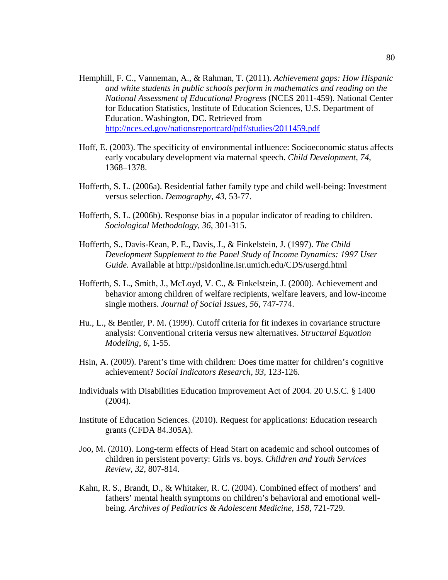- Hemphill, F. C., Vanneman, A., & Rahman, T. (2011). *Achievement gaps: How Hispanic and white students in public schools perform in mathematics and reading on the National Assessment of Educational Progress* (NCES 2011-459). National Center for Education Statistics, Institute of Education Sciences, U.S. Department of Education. Washington, DC. Retrieved from <http://nces.ed.gov/nationsreportcard/pdf/studies/2011459.pdf>
- Hoff, E. (2003). The specificity of environmental influence: Socioeconomic status affects early vocabulary development via maternal speech. *Child Development, 74*, 1368–1378.
- Hofferth, S. L. (2006a). Residential father family type and child well-being: Investment versus selection. *Demography, 43*, 53-77.
- Hofferth, S. L. (2006b). Response bias in a popular indicator of reading to children. *Sociological Methodology, 36*, 301-315.
- Hofferth, S., Davis-Kean, P. E., Davis, J., & Finkelstein, J. (1997). *The Child Development Supplement to the Panel Study of Income Dynamics: 1997 User Guide.* Available at http://psidonline.isr.umich.edu/CDS/usergd.html
- Hofferth, S. L., Smith, J., McLoyd, V. C., & Finkelstein, J. (2000). Achievement and behavior among children of welfare recipients, welfare leavers, and low-income single mothers. *Journal of Social Issues, 56*, 747-774.
- Hu., L., & Bentler, P. M. (1999). Cutoff criteria for fit indexes in covariance structure analysis: Conventional criteria versus new alternatives. *Structural Equation Modeling*, *6*, 1-55.
- Hsin, A. (2009). Parent's time with children: Does time matter for children's cognitive achievement? *Social Indicators Research, 93*, 123-126.
- Individuals with Disabilities Education Improvement Act of 2004. 20 U.S.C. § 1400 (2004).
- Institute of Education Sciences. (2010). Request for applications: Education research grants (CFDA 84.305A).
- Joo, M. (2010). Long-term effects of Head Start on academic and school outcomes of children in persistent poverty: Girls vs. boys. *Children and Youth Services Review, 32*, 807-814.
- Kahn, R. S., Brandt, D., & Whitaker, R. C. (2004). Combined effect of mothers' and fathers' mental health symptoms on children's behavioral and emotional wellbeing. *Archives of Pediatrics & Adolescent Medicine, 158*, 721-729.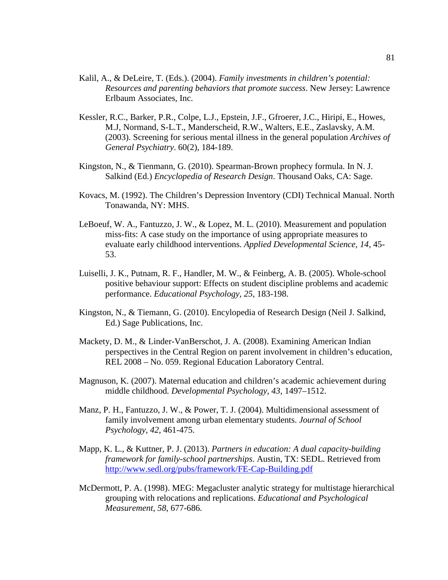- Kalil, A., & DeLeire, T. (Eds.). (2004). *Family investments in children's potential: Resources and parenting behaviors that promote success*. New Jersey: Lawrence Erlbaum Associates, Inc.
- Kessler, R.C., Barker, P.R., Colpe, L.J., Epstein, J.F., Gfroerer, J.C., Hiripi, E., Howes, M.J, Normand, S-L.T., Manderscheid, R.W., Walters, E.E., Zaslavsky, A.M. (2003). Screening for serious mental illness in the general population *Archives of General Psychiatry*. 60(2), 184-189.
- Kingston, N., & Tienmann, G. (2010). Spearman-Brown prophecy formula. In N. J. Salkind (Ed.) *Encyclopedia of Research Design*. Thousand Oaks, CA: Sage.
- Kovacs, M. (1992). The Children's Depression Inventory (CDI) Technical Manual. North Tonawanda, NY: MHS.
- LeBoeuf, W. A., Fantuzzo, J. W., & Lopez, M. L. (2010). Measurement and population miss-fits: A case study on the importance of using appropriate measures to evaluate early childhood interventions. *Applied Developmental Science, 14*, 45- 53.
- Luiselli, J. K., Putnam, R. F., Handler, M. W., & Feinberg, A. B. (2005). Whole-school positive behaviour support: Effects on student discipline problems and academic performance. *Educational Psychology, 25*, 183-198.
- Kingston, N., & Tiemann, G. (2010). Encylopedia of Research Design (Neil J. Salkind, Ed.) Sage Publications, Inc.
- Mackety, D. M., & Linder-VanBerschot, J. A. (2008). Examining American Indian perspectives in the Central Region on parent involvement in children's education, REL 2008 – No. 059. Regional Education Laboratory Central.
- Magnuson, K. (2007). Maternal education and children's academic achievement during middle childhood*. Developmental Psychology, 43*, 1497–1512.
- Manz, P. H., Fantuzzo, J. W., & Power, T. J. (2004). Multidimensional assessment of family involvement among urban elementary students. *Journal of School Psychology, 42*, 461-475.
- Mapp, K. L., & Kuttner, P. J. (2013). *Partners in education: A dual capacity-building framework for family-school partnerships*. Austin, TX: SEDL. Retrieved from <http://www.sedl.org/pubs/framework/FE-Cap-Building.pdf>
- McDermott, P. A. (1998). MEG: Megacluster analytic strategy for multistage hierarchical grouping with relocations and replications. *Educational and Psychological Measurement, 58*, 677-686.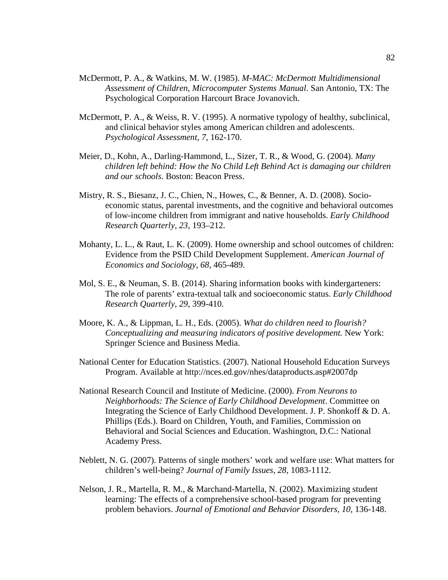- McDermott, P. A., & Watkins, M. W. (1985). *M-MAC: McDermott Multidimensional Assessment of Children, Microcomputer Systems Manual*. San Antonio, TX: The Psychological Corporation Harcourt Brace Jovanovich.
- McDermott, P. A., & Weiss, R. V. (1995). A normative typology of healthy, subclinical, and clinical behavior styles among American children and adolescents. *Psychological Assessment, 7*, 162-170.
- Meier, D., Kohn, A., Darling-Hammond, L., Sizer, T. R., & Wood, G. (2004). *Many children left behind: How the No Child Left Behind Act is damaging our children and our schools*. Boston: Beacon Press.
- Mistry, R. S., Biesanz, J. C., Chien, N., Howes, C., & Benner, A. D. (2008). Socioeconomic status, parental investments, and the cognitive and behavioral outcomes of low-income children from immigrant and native households. *Early Childhood Research Quarterly, 23*, 193–212.
- Mohanty, L. L., & Raut, L. K. (2009). Home ownership and school outcomes of children: Evidence from the PSID Child Development Supplement. *American Journal of Economics and Sociology, 68*, 465-489.
- Mol, S. E., & Neuman, S. B. (2014). Sharing information books with kindergarteners: The role of parents' extra-textual talk and socioeconomic status. *Early Childhood Research Quarterly, 29*, 399-410.
- Moore, K. A., & Lippman, L. H., Eds. (2005). *What do children need to flourish? Conceptualizing and measuring indicators of positive development.* New York: Springer Science and Business Media.
- National Center for Education Statistics. (2007). National Household Education Surveys Program. Available at http://nces.ed.gov/nhes/dataproducts.asp#2007dp
- National Research Council and Institute of Medicine. (2000). *From Neurons to Neighborhoods: The Science of Early Childhood Development*. Committee on Integrating the Science of Early Childhood Development. J. P. Shonkoff & D. A. Phillips (Eds.). Board on Children, Youth, and Families, Commission on Behavioral and Social Sciences and Education. Washington, D.C.: National Academy Press.
- Neblett, N. G. (2007). Patterns of single mothers' work and welfare use: What matters for children's well-being? *Journal of Family Issues, 28*, 1083-1112.
- Nelson, J. R., Martella, R. M., & Marchand-Martella, N. (2002). Maximizing student learning: The effects of a comprehensive school-based program for preventing problem behaviors. *Journal of Emotional and Behavior Disorders, 10*, 136-148.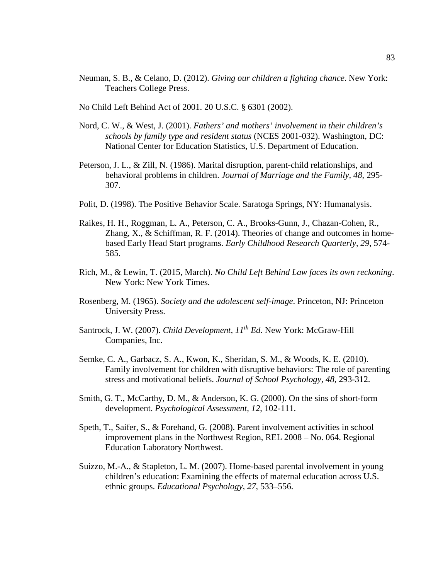- Neuman, S. B., & Celano, D. (2012). *Giving our children a fighting chance*. New York: Teachers College Press.
- No Child Left Behind Act of 2001. 20 U.S.C. § 6301 (2002).
- Nord, C. W., & West, J. (2001). *Fathers' and mothers' involvement in their children's schools by family type and resident status* (NCES 2001-032). Washington, DC: National Center for Education Statistics, U.S. Department of Education.
- Peterson, J. L., & Zill, N. (1986). Marital disruption, parent-child relationships, and behavioral problems in children. *Journal of Marriage and the Family, 48*, 295- 307.
- Polit, D. (1998). The Positive Behavior Scale. Saratoga Springs, NY: Humanalysis.
- Raikes, H. H., Roggman, L. A., Peterson, C. A., Brooks-Gunn, J., Chazan-Cohen, R., Zhang, X., & Schiffman, R. F. (2014). Theories of change and outcomes in homebased Early Head Start programs. *Early Childhood Research Quarterly, 29*, 574- 585.
- Rich, M., & Lewin, T. (2015, March). *No Child Left Behind Law faces its own reckoning*. New York: New York Times.
- Rosenberg, M. (1965). *Society and the adolescent self-image*. Princeton, NJ: Princeton University Press.
- Santrock, J. W. (2007). *Child Development, 11th Ed*. New York: McGraw-Hill Companies, Inc.
- Semke, C. A., Garbacz, S. A., Kwon, K., Sheridan, S. M., & Woods, K. E. (2010). Family involvement for children with disruptive behaviors: The role of parenting stress and motivational beliefs. *Journal of School Psychology, 48*, 293-312.
- Smith, G. T., McCarthy, D. M., & Anderson, K. G. (2000). On the sins of short-form development. *Psychological Assessment, 12*, 102-111.
- Speth, T., Saifer, S., & Forehand, G. (2008). Parent involvement activities in school improvement plans in the Northwest Region, REL 2008 – No. 064. Regional Education Laboratory Northwest.
- Suizzo, M.-A., & Stapleton, L. M. (2007). Home-based parental involvement in young children's education: Examining the effects of maternal education across U.S. ethnic groups. *Educational Psychology, 27*, 533–556.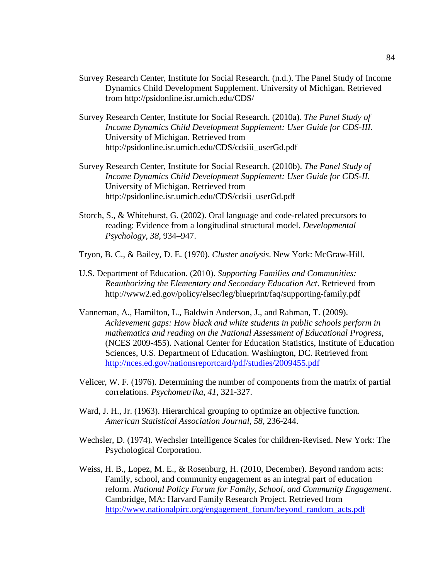- Survey Research Center, Institute for Social Research. (n.d.). The Panel Study of Income Dynamics Child Development Supplement. University of Michigan. Retrieved from http://psidonline.isr.umich.edu/CDS/
- Survey Research Center, Institute for Social Research. (2010a). *The Panel Study of Income Dynamics Child Development Supplement: User Guide for CDS-III*. University of Michigan. Retrieved from http://psidonline.isr.umich.edu/CDS/cdsiii\_userGd.pdf
- Survey Research Center, Institute for Social Research. (2010b). *The Panel Study of Income Dynamics Child Development Supplement: User Guide for CDS-II*. University of Michigan. Retrieved from http://psidonline.isr.umich.edu/CDS/cdsii\_userGd.pdf
- Storch, S., & Whitehurst, G. (2002). Oral language and code-related precursors to reading: Evidence from a longitudinal structural model. *Developmental Psychology, 38*, 934–947.
- Tryon, B. C., & Bailey, D. E. (1970). *Cluster analysis*. New York: McGraw-Hill.
- U.S. Department of Education. (2010). *Supporting Families and Communities: Reauthorizing the Elementary and Secondary Education Act*. Retrieved from http://www2.ed.gov/policy/elsec/leg/blueprint/faq/supporting-family.pdf
- Vanneman, A., Hamilton, L., Baldwin Anderson, J., and Rahman, T. (2009). *Achievement gaps: How black and white students in public schools perform in mathematics and reading on the National Assessment of Educational Progress*, (NCES 2009-455). National Center for Education Statistics, Institute of Education Sciences, U.S. Department of Education. Washington, DC. Retrieved from <http://nces.ed.gov/nationsreportcard/pdf/studies/2009455.pdf>
- Velicer, W. F. (1976). Determining the number of components from the matrix of partial correlations. *Psychometrika*, *41*, 321-327.
- Ward, J. H., Jr. (1963). Hierarchical grouping to optimize an objective function. *American Statistical Association Journal, 58*, 236-244.
- Wechsler, D. (1974). Wechsler Intelligence Scales for children-Revised. New York: The Psychological Corporation.
- Weiss, H. B., Lopez, M. E., & Rosenburg, H. (2010, December). Beyond random acts: Family, school, and community engagement as an integral part of education reform. *National Policy Forum for Family, School, and Community Engagement*. Cambridge, MA: Harvard Family Research Project. Retrieved from [http://www.nationalpirc.org/engagement\\_forum/beyond\\_random\\_acts.pdf](http://www.nationalpirc.org/engagement_forum/beyond_random_acts.pdf)